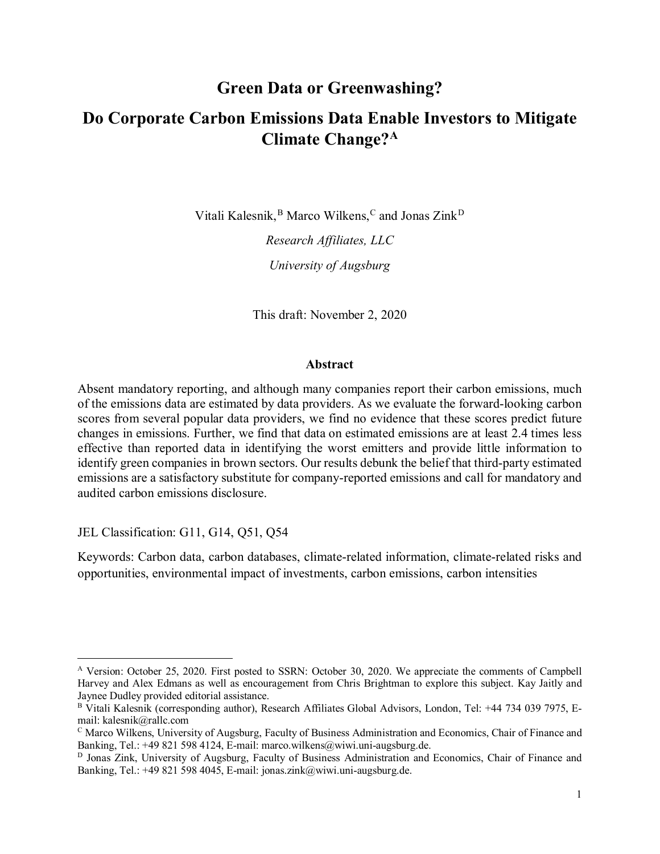# **Green Data or Greenwashing? Do Corporate Carbon Emissions Data Enable Investors to Mitigate Climate Change?[A](#page-0-0)**

Vitali Kalesnik, <sup>[B](#page-0-1)</sup> Marco Wilkens, <sup>[C](#page-0-2)</sup> and Jonas Zink<sup>[D](#page-0-3)</sup>

*Research Affiliates, LLC University of Augsburg*

This draft: November 2, 2020

#### **Abstract**

Absent mandatory reporting, and although many companies report their carbon emissions, much of the emissions data are estimated by data providers. As we evaluate the forward-looking carbon scores from several popular data providers, we find no evidence that these scores predict future changes in emissions. Further, we find that data on estimated emissions are at least 2.4 times less effective than reported data in identifying the worst emitters and provide little information to identify green companies in brown sectors. Our results debunk the belief that third-party estimated emissions are a satisfactory substitute for company-reported emissions and call for mandatory and audited carbon emissions disclosure.

JEL Classification: G11, G14, Q51, Q54

Keywords: Carbon data, carbon databases, climate-related information, climate-related risks and opportunities, environmental impact of investments, carbon emissions, carbon intensities

<span id="page-0-0"></span>A Version: October 25, 2020. First posted to SSRN: October 30, 2020. We appreciate the comments of Campbell Harvey and Alex Edmans as well as encouragement from Chris Brightman to explore this subject. Kay Jaitly and Jaynee Dudley provided editorial assistance.

<span id="page-0-1"></span>B Vitali Kalesnik (corresponding author), Research Affiliates Global Advisors, London, Tel: +44 734 039 7975, Email: kalesnik@rallc.com

<span id="page-0-2"></span><sup>C</sup> Marco Wilkens, University of Augsburg, Faculty of Business Administration and Economics, Chair of Finance and Banking, Tel.: +49 821 598 4124, E-mail: marco.wilkens@wiwi.uni-augsburg.de.

<span id="page-0-3"></span>D Jonas Zink, University of Augsburg, Faculty of Business Administration and Economics, Chair of Finance and Banking, Tel.: +49 821 598 4045, E-mail: jonas.zink@wiwi.uni-augsburg.de.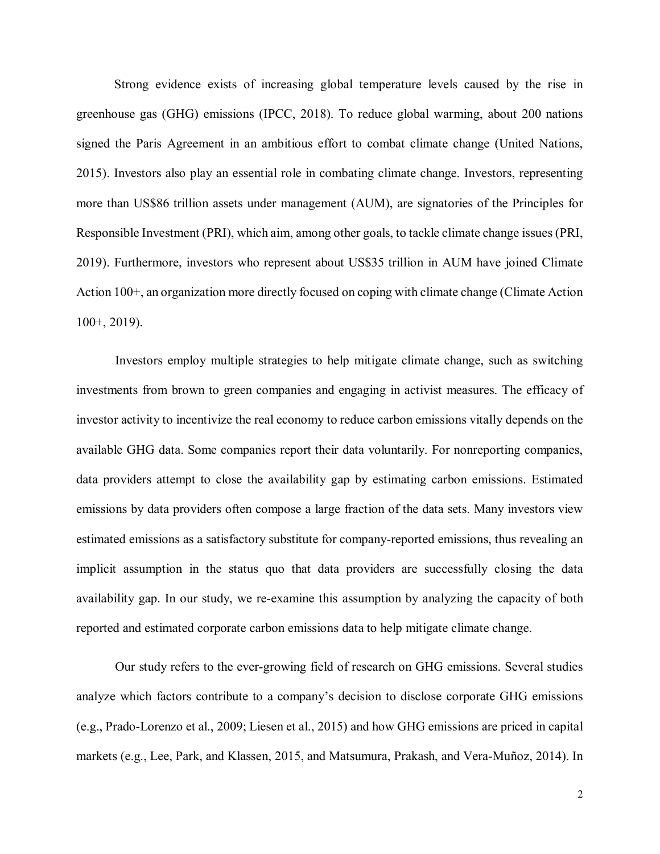Strong evidence exists of increasing global temperature levels caused by the rise in greenhouse gas (GHG) emissions (IPCC, 2018). To reduce global warming, about 200 nations signed the Paris Agreement in an ambitious effort to combat climate change (United Nations, 2015). Investors also play an essential role in combating climate change. Investors, representing more than US\$86 trillion assets under management (AUM), are signatories of the Principles for Responsible Investment (PRI), which aim, among other goals, to tackle climate change issues(PRI, 2019). Furthermore, investors who represent about US\$35 trillion in AUM have joined Climate Action 100+, an organization more directly focused on coping with climate change (Climate Action 100+, 2019).

Investors employ multiple strategies to help mitigate climate change, such as switching investments from brown to green companies and engaging in activist measures. The efficacy of investor activity to incentivize the real economy to reduce carbon emissions vitally depends on the available GHG data. Some companies report their data voluntarily. For nonreporting companies, data providers attempt to close the availability gap by estimating carbon emissions. Estimated emissions by data providers often compose a large fraction of the data sets. Many investors view estimated emissions as a satisfactory substitute for company-reported emissions, thus revealing an implicit assumption in the status quo that data providers are successfully closing the data availability gap. In our study, we re-examine this assumption by analyzing the capacity of both reported and estimated corporate carbon emissions data to help mitigate climate change.

Our study refers to the ever-growing field of research on GHG emissions. Several studies analyze which factors contribute to a company's decision to disclose corporate GHG emissions (e.g., Prado‐Lorenzo et al., 2009; Liesen et al., 2015) and how GHG emissions are priced in capital markets (e.g., Lee, Park, and Klassen, 2015, and Matsumura, Prakash, and Vera-Muñoz, 2014). In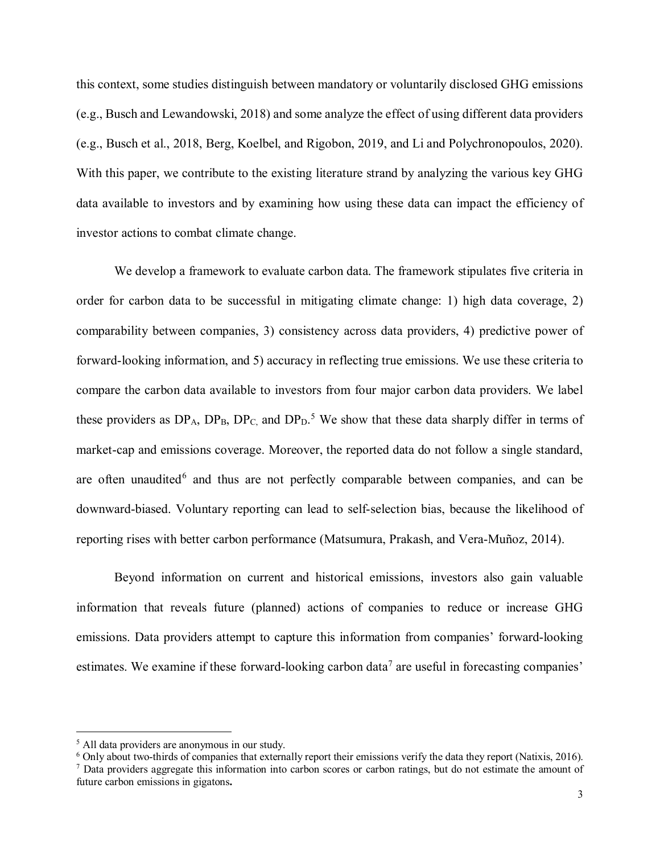this context, some studies distinguish between mandatory or voluntarily disclosed GHG emissions (e.g., Busch and Lewandowski, 2018) and some analyze the effect of using different data providers (e.g., Busch et al., 2018, Berg, Koelbel, and Rigobon, 2019, and Li and Polychronopoulos, 2020). With this paper, we contribute to the existing literature strand by analyzing the various key GHG data available to investors and by examining how using these data can impact the efficiency of investor actions to combat climate change.

We develop a framework to evaluate carbon data. The framework stipulates five criteria in order for carbon data to be successful in mitigating climate change: 1) high data coverage, 2) comparability between companies, 3) consistency across data providers, 4) predictive power of forward-looking information, and 5) accuracy in reflecting true emissions. We use these criteria to compare the carbon data available to investors from four major carbon data providers. We label these providers as  $DP_A$ ,  $DP_B$ ,  $DP_C$ , and  $DP_D$ .<sup>[5](#page-2-0)</sup> We show that these data sharply differ in terms of market-cap and emissions coverage. Moreover, the reported data do not follow a single standard, are often unaudited $6$  and thus are not perfectly comparable between companies, and can be downward-biased. Voluntary reporting can lead to self-selection bias, because the likelihood of reporting rises with better carbon performance (Matsumura, Prakash, and Vera-Muñoz, 2014).

Beyond information on current and historical emissions, investors also gain valuable information that reveals future (planned) actions of companies to reduce or increase GHG emissions. Data providers attempt to capture this information from companies' forward-looking estimates. We examine if these forward-looking carbon data<sup>[7](#page-2-2)</sup> are useful in forecasting companies'

<span id="page-2-0"></span> <sup>5</sup> All data providers are anonymous in our study.

<span id="page-2-1"></span> $6$  Only about two-thirds of companies that externally report their emissions verify the data they report (Natixis, 2016).

<span id="page-2-2"></span> $<sup>7</sup>$  Data providers aggregate this information into carbon scores or carbon ratings, but do not estimate the amount of</sup> future carbon emissions in gigatons**.**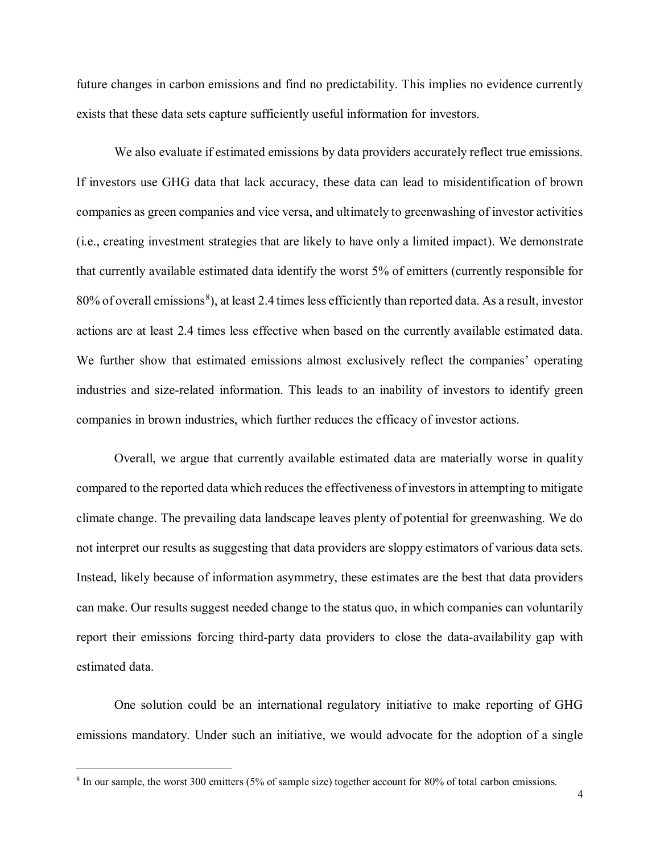future changes in carbon emissions and find no predictability. This implies no evidence currently exists that these data sets capture sufficiently useful information for investors.

We also evaluate if estimated emissions by data providers accurately reflect true emissions. If investors use GHG data that lack accuracy, these data can lead to misidentification of brown companies as green companies and vice versa, and ultimately to greenwashing of investor activities (i.e., creating investment strategies that are likely to have only a limited impact). We demonstrate that currently available estimated data identify the worst 5% of emitters (currently responsible for  $80\%$  $80\%$  of overall emissions<sup>8</sup>), at least 2.4 times less efficiently than reported data. As a result, investor actions are at least 2.4 times less effective when based on the currently available estimated data. We further show that estimated emissions almost exclusively reflect the companies' operating industries and size-related information. This leads to an inability of investors to identify green companies in brown industries, which further reduces the efficacy of investor actions.

Overall, we argue that currently available estimated data are materially worse in quality compared to the reported data which reduces the effectiveness of investors in attempting to mitigate climate change. The prevailing data landscape leaves plenty of potential for greenwashing. We do not interpret our results as suggesting that data providers are sloppy estimators of various data sets. Instead, likely because of information asymmetry, these estimates are the best that data providers can make. Our results suggest needed change to the status quo, in which companies can voluntarily report their emissions forcing third-party data providers to close the data-availability gap with estimated data.

One solution could be an international regulatory initiative to make reporting of GHG emissions mandatory. Under such an initiative, we would advocate for the adoption of a single

<span id="page-3-0"></span><sup>&</sup>lt;sup>8</sup> In our sample, the worst 300 emitters (5% of sample size) together account for 80% of total carbon emissions.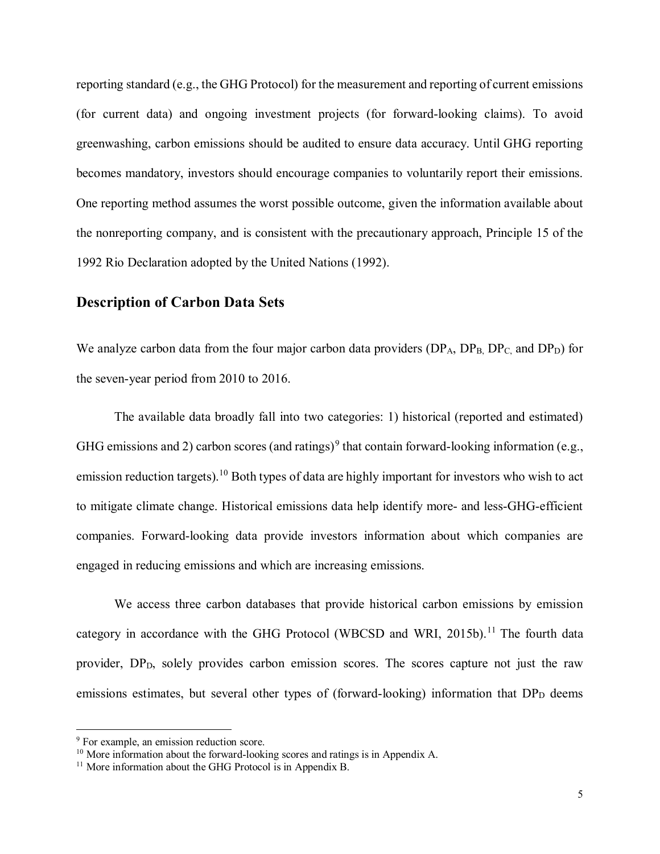reporting standard (e.g., the GHG Protocol) for the measurement and reporting of current emissions (for current data) and ongoing investment projects (for forward-looking claims). To avoid greenwashing, carbon emissions should be audited to ensure data accuracy. Until GHG reporting becomes mandatory, investors should encourage companies to voluntarily report their emissions. One reporting method assumes the worst possible outcome, given the information available about the nonreporting company, and is consistent with the precautionary approach, Principle 15 of the 1992 Rio Declaration adopted by the United Nations (1992).

### **Description of Carbon Data Sets**

We analyze carbon data from the four major carbon data providers  $(DP_A, DP_B, DP_C$ , and  $DP_D)$  for the seven-year period from 2010 to 2016.

The available data broadly fall into two categories: 1) historical (reported and estimated) GHG emissions and 2) carbon scores (and ratings)<sup>[9](#page-4-0)</sup> that contain forward-looking information (e.g., emission reduction targets).<sup>[10](#page-4-1)</sup> Both types of data are highly important for investors who wish to act to mitigate climate change. Historical emissions data help identify more- and less-GHG-efficient companies. Forward-looking data provide investors information about which companies are engaged in reducing emissions and which are increasing emissions.

We access three carbon databases that provide historical carbon emissions by emission category in accordance with the GHG Protocol (WBCSD and WRI, 2015b).<sup>[11](#page-4-2)</sup> The fourth data provider, DP<sub>D</sub>, solely provides carbon emission scores. The scores capture not just the raw emissions estimates, but several other types of (forward-looking) information that  $DP<sub>D</sub>$  deems

<span id="page-4-0"></span><sup>&</sup>lt;sup>9</sup> For example, an emission reduction score.

<span id="page-4-1"></span><sup>&</sup>lt;sup>10</sup> More information about the forward-looking scores and ratings is in Appendix A.

<span id="page-4-2"></span><sup>&</sup>lt;sup>11</sup> More information about the GHG Protocol is in Appendix B.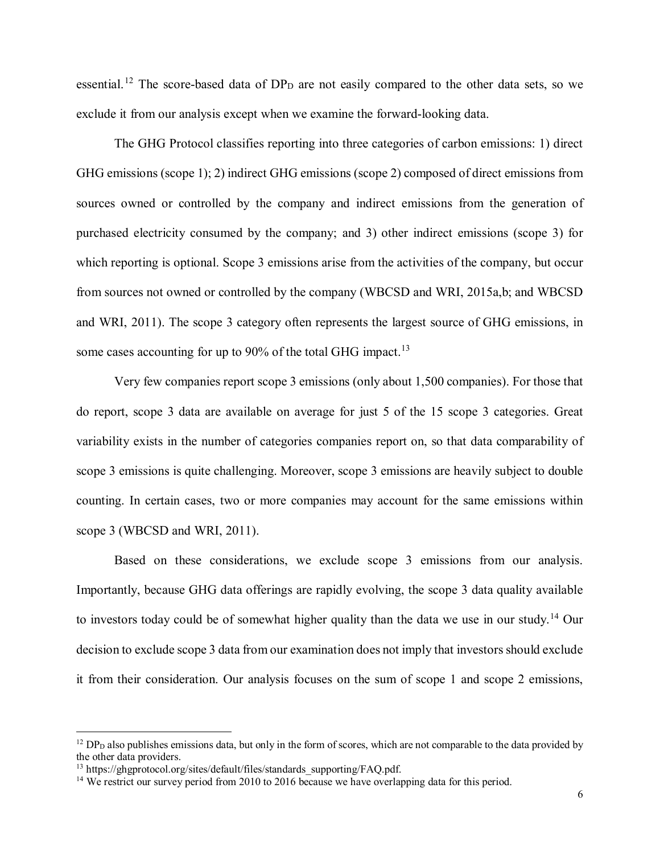essential.<sup>[12](#page-5-0)</sup> The score-based data of  $DP<sub>D</sub>$  are not easily compared to the other data sets, so we exclude it from our analysis except when we examine the forward-looking data.

The GHG Protocol classifies reporting into three categories of carbon emissions: 1) direct GHG emissions (scope 1); 2) indirect GHG emissions (scope 2) composed of direct emissions from sources owned or controlled by the company and indirect emissions from the generation of purchased electricity consumed by the company; and 3) other indirect emissions (scope 3) for which reporting is optional. Scope 3 emissions arise from the activities of the company, but occur from sources not owned or controlled by the company (WBCSD and WRI, 2015a,b; and WBCSD and WRI, 2011). The scope 3 category often represents the largest source of GHG emissions, in some cases accounting for up to 90% of the total GHG impact.<sup>[13](#page-5-1)</sup>

Very few companies report scope 3 emissions (only about 1,500 companies). For those that do report, scope 3 data are available on average for just 5 of the 15 scope 3 categories. Great variability exists in the number of categories companies report on, so that data comparability of scope 3 emissions is quite challenging. Moreover, scope 3 emissions are heavily subject to double counting. In certain cases, two or more companies may account for the same emissions within scope 3 (WBCSD and WRI, 2011).

Based on these considerations, we exclude scope 3 emissions from our analysis. Importantly, because GHG data offerings are rapidly evolving, the scope 3 data quality available to investors today could be of somewhat higher quality than the data we use in our study.<sup>[14](#page-5-2)</sup> Our decision to exclude scope 3 data from our examination does not imply that investors should exclude it from their consideration. Our analysis focuses on the sum of scope 1 and scope 2 emissions,

<span id="page-5-0"></span> $12$  DP<sub>D</sub> also publishes emissions data, but only in the form of scores, which are not comparable to the data provided by the other data providers.

<span id="page-5-1"></span><sup>&</sup>lt;sup>13</sup> https://ghgprotocol.org/sites/default/files/standards\_supporting/FAQ.pdf.

<span id="page-5-2"></span><sup>&</sup>lt;sup>14</sup> We restrict our survey period from 2010 to 2016 because we have overlapping data for this period.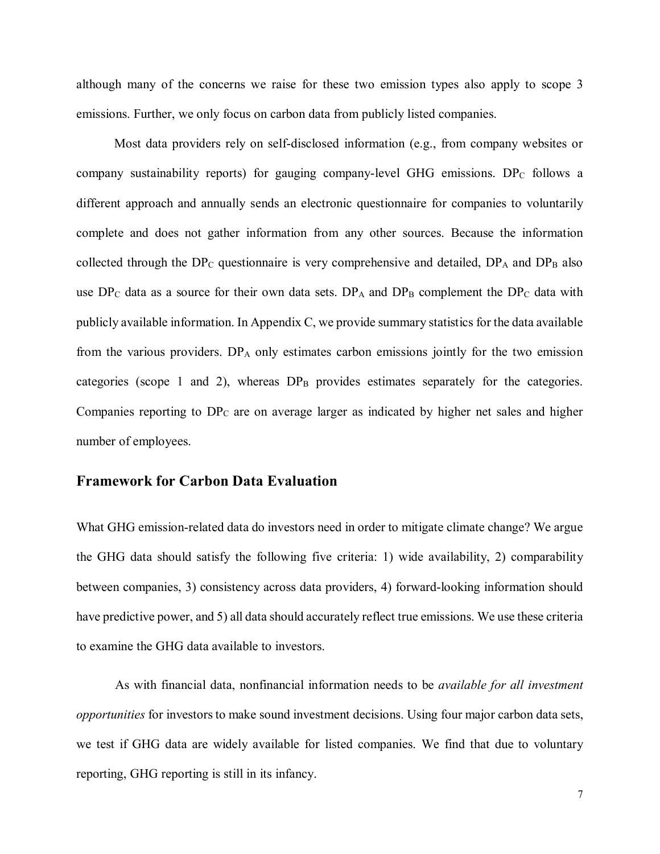although many of the concerns we raise for these two emission types also apply to scope 3 emissions. Further, we only focus on carbon data from publicly listed companies.

Most data providers rely on self-disclosed information (e.g., from company websites or company sustainability reports) for gauging company-level GHG emissions.  $DP_C$  follows a different approach and annually sends an electronic questionnaire for companies to voluntarily complete and does not gather information from any other sources. Because the information collected through the DP<sub>C</sub> questionnaire is very comprehensive and detailed,  $DP_A$  and  $DP_B$  also use  $DP_C$  data as a source for their own data sets.  $DP_A$  and  $DP_B$  complement the  $DP_C$  data with publicly available information. In Appendix C, we provide summary statistics for the data available from the various providers.  $DP_A$  only estimates carbon emissions jointly for the two emission categories (scope 1 and 2), whereas  $DP_B$  provides estimates separately for the categories. Companies reporting to  $DP<sub>C</sub>$  are on average larger as indicated by higher net sales and higher number of employees.

### **Framework for Carbon Data Evaluation**

What GHG emission-related data do investors need in order to mitigate climate change? We argue the GHG data should satisfy the following five criteria: 1) wide availability, 2) comparability between companies, 3) consistency across data providers, 4) forward-looking information should have predictive power, and 5) all data should accurately reflect true emissions. We use these criteria to examine the GHG data available to investors.

As with financial data, nonfinancial information needs to be *available for all investment opportunities* for investors to make sound investment decisions. Using four major carbon data sets, we test if GHG data are widely available for listed companies. We find that due to voluntary reporting, GHG reporting is still in its infancy.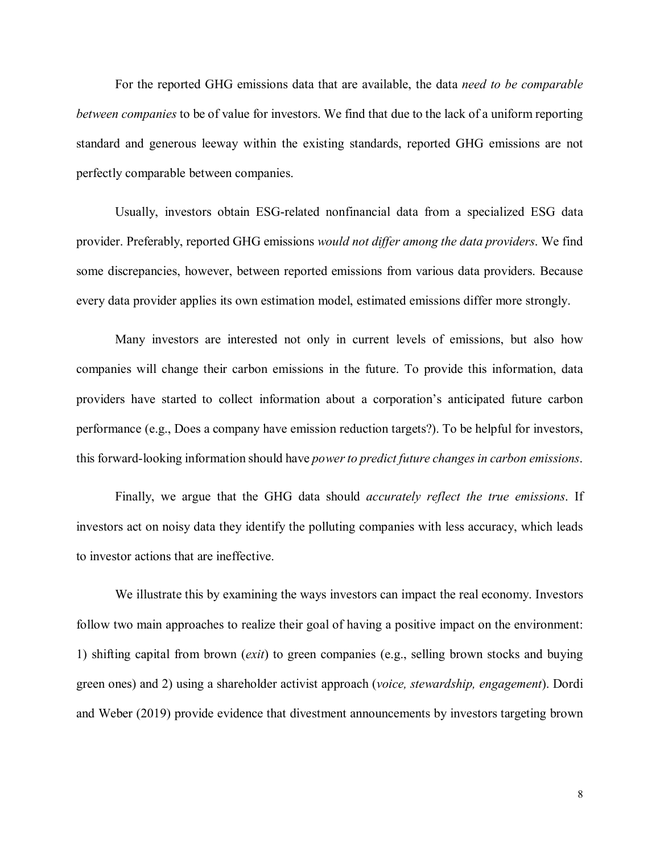For the reported GHG emissions data that are available, the data *need to be comparable between companies* to be of value for investors. We find that due to the lack of a uniform reporting standard and generous leeway within the existing standards, reported GHG emissions are not perfectly comparable between companies.

Usually, investors obtain ESG-related nonfinancial data from a specialized ESG data provider. Preferably, reported GHG emissions *would not differ among the data providers*. We find some discrepancies, however, between reported emissions from various data providers. Because every data provider applies its own estimation model, estimated emissions differ more strongly.

Many investors are interested not only in current levels of emissions, but also how companies will change their carbon emissions in the future. To provide this information, data providers have started to collect information about a corporation's anticipated future carbon performance (e.g., Does a company have emission reduction targets?). To be helpful for investors, this forward-looking information should have *power to predict future changes in carbon emissions*.

Finally, we argue that the GHG data should *accurately reflect the true emissions*. If investors act on noisy data they identify the polluting companies with less accuracy, which leads to investor actions that are ineffective.

We illustrate this by examining the ways investors can impact the real economy. Investors follow two main approaches to realize their goal of having a positive impact on the environment: 1) shifting capital from brown (*exit*) to green companies (e.g., selling brown stocks and buying green ones) and 2) using a shareholder activist approach (*voice, stewardship, engagement*). Dordi and Weber (2019) provide evidence that divestment announcements by investors targeting brown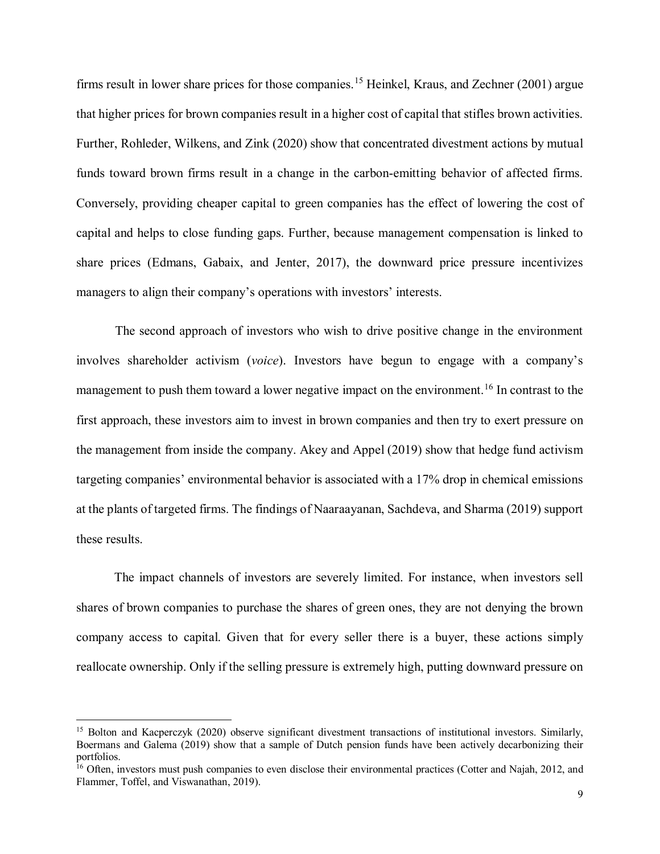firms result in lower share prices for those companies.<sup>[15](#page-8-0)</sup> Heinkel, Kraus, and Zechner (2001) argue that higher prices for brown companies result in a higher cost of capital that stifles brown activities. Further, Rohleder, Wilkens, and Zink (2020) show that concentrated divestment actions by mutual funds toward brown firms result in a change in the carbon-emitting behavior of affected firms. Conversely, providing cheaper capital to green companies has the effect of lowering the cost of capital and helps to close funding gaps. Further, because management compensation is linked to share prices (Edmans, Gabaix, and Jenter, 2017), the downward price pressure incentivizes managers to align their company's operations with investors' interests.

The second approach of investors who wish to drive positive change in the environment involves shareholder activism (*voice*). Investors have begun to engage with a company's management to push them toward a lower negative impact on the environment.<sup>[16](#page-8-1)</sup> In contrast to the first approach, these investors aim to invest in brown companies and then try to exert pressure on the management from inside the company. Akey and Appel (2019) show that hedge fund activism targeting companies' environmental behavior is associated with a 17% drop in chemical emissions at the plants of targeted firms. The findings of Naaraayanan, Sachdeva, and Sharma (2019) support these results.

The impact channels of investors are severely limited. For instance, when investors sell shares of brown companies to purchase the shares of green ones, they are not denying the brown company access to capital. Given that for every seller there is a buyer, these actions simply reallocate ownership. Only if the selling pressure is extremely high, putting downward pressure on

<span id="page-8-0"></span><sup>&</sup>lt;sup>15</sup> Bolton and Kacperczyk (2020) observe significant divestment transactions of institutional investors. Similarly, Boermans and Galema (2019) show that a sample of Dutch pension funds have been actively decarbonizing their portfolios.

<span id="page-8-1"></span><sup>&</sup>lt;sup>16</sup> Often, investors must push companies to even disclose their environmental practices (Cotter and Najah, 2012, and Flammer, Toffel, and Viswanathan, 2019).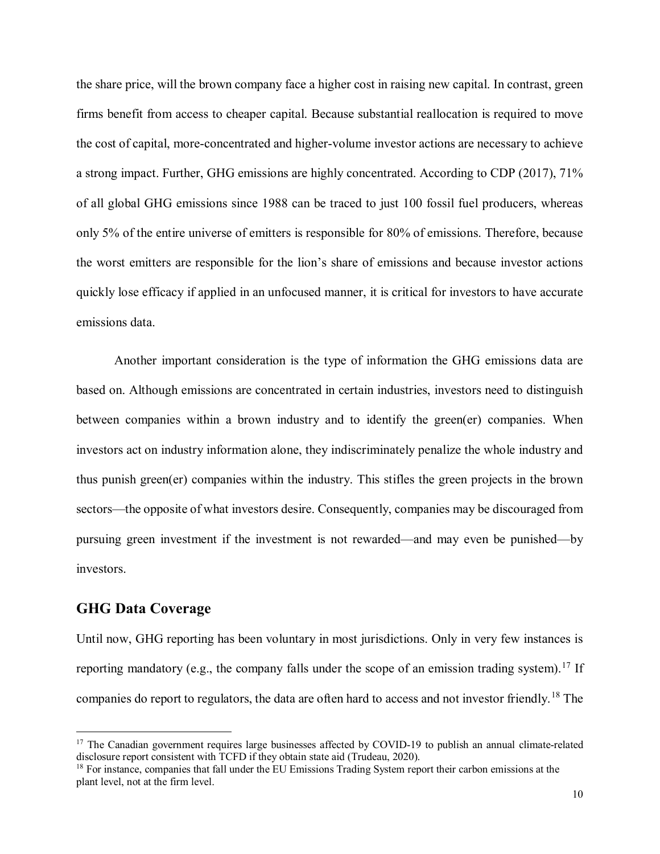the share price, will the brown company face a higher cost in raising new capital. In contrast, green firms benefit from access to cheaper capital. Because substantial reallocation is required to move the cost of capital, more-concentrated and higher-volume investor actions are necessary to achieve a strong impact. Further, GHG emissions are highly concentrated. According to CDP (2017), 71% of all global GHG emissions since 1988 can be traced to just 100 fossil fuel producers, whereas only 5% of the entire universe of emitters is responsible for 80% of emissions. Therefore, because the worst emitters are responsible for the lion's share of emissions and because investor actions quickly lose efficacy if applied in an unfocused manner, it is critical for investors to have accurate emissions data.

Another important consideration is the type of information the GHG emissions data are based on. Although emissions are concentrated in certain industries, investors need to distinguish between companies within a brown industry and to identify the green(er) companies. When investors act on industry information alone, they indiscriminately penalize the whole industry and thus punish green(er) companies within the industry. This stifles the green projects in the brown sectors—the opposite of what investors desire. Consequently, companies may be discouraged from pursuing green investment if the investment is not rewarded—and may even be punished—by investors.

### **GHG Data Coverage**

Until now, GHG reporting has been voluntary in most jurisdictions. Only in very few instances is reporting mandatory (e.g., the company falls under the scope of an emission trading system).<sup>[17](#page-9-0)</sup> If companies do report to regulators, the data are often hard to access and not investor friendly.<sup>[18](#page-9-1)</sup> The

<span id="page-9-0"></span><sup>&</sup>lt;sup>17</sup> The Canadian government requires large businesses affected by COVID-19 to publish an annual climate-related disclosure report consistent with TCFD if they obtain state aid (Trudeau, 2020).

<span id="page-9-1"></span><sup>&</sup>lt;sup>18</sup> For instance, companies that fall under the EU Emissions Trading System report their carbon emissions at the plant level, not at the firm level.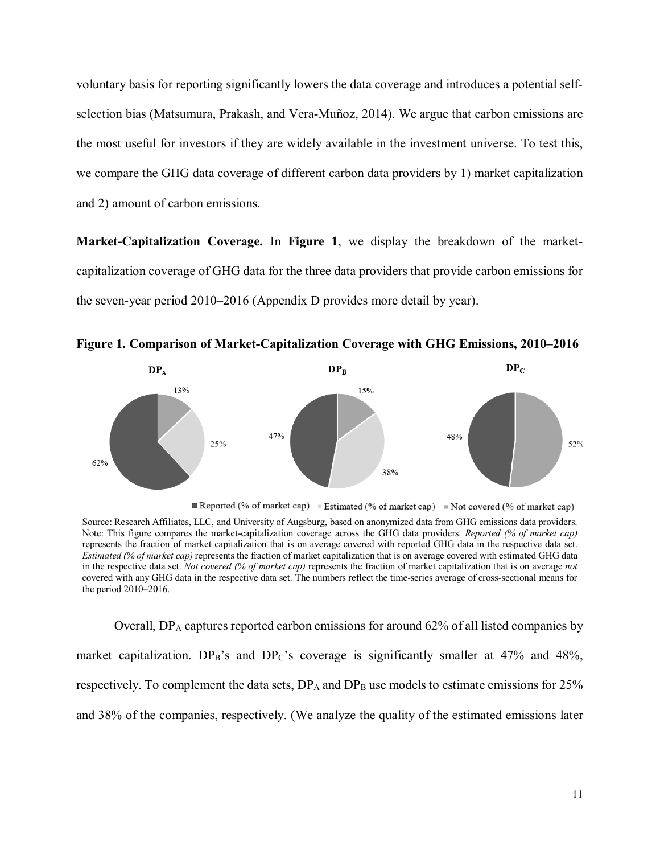voluntary basis for reporting significantly lowers the data coverage and introduces a potential selfselection bias (Matsumura, Prakash, and Vera-Muñoz, 2014). We argue that carbon emissions are the most useful for investors if they are widely available in the investment universe. To test this, we compare the GHG data coverage of different carbon data providers by 1) market capitalization and 2) amount of carbon emissions.

**Market-Capitalization Coverage.** In **Figure 1**, we display the breakdown of the marketcapitalization coverage of GHG data for the three data providers that provide carbon emissions for the seven-year period 2010–2016 (Appendix D provides more detail by year).





Reported (% of market cap) Estimated (% of market cap) Not covered (% of market cap)

Source: Research Affiliates, LLC, and University of Augsburg, based on anonymized data from GHG emissions data providers. Note: This figure compares the market-capitalization coverage across the GHG data providers. *Reported (% of market cap)*  represents the fraction of market capitalization that is on average covered with reported GHG data in the respective data set. *Estimated (% of market cap)* represents the fraction of market capitalization that is on average covered with estimated GHG data in the respective data set. *Not covered (% of market cap)* represents the fraction of market capitalization that is on average *not* covered with any GHG data in the respective data set. The numbers reflect the time-series average of cross-sectional means for the period 2010–2016.

Overall,  $DP_A$  captures reported carbon emissions for around 62% of all listed companies by market capitalization.  $DP_B$ 's and  $DP_C$ 's coverage is significantly smaller at 47% and 48%, respectively. To complement the data sets,  $DP_A$  and  $DP_B$  use models to estimate emissions for 25% and 38% of the companies, respectively. (We analyze the quality of the estimated emissions later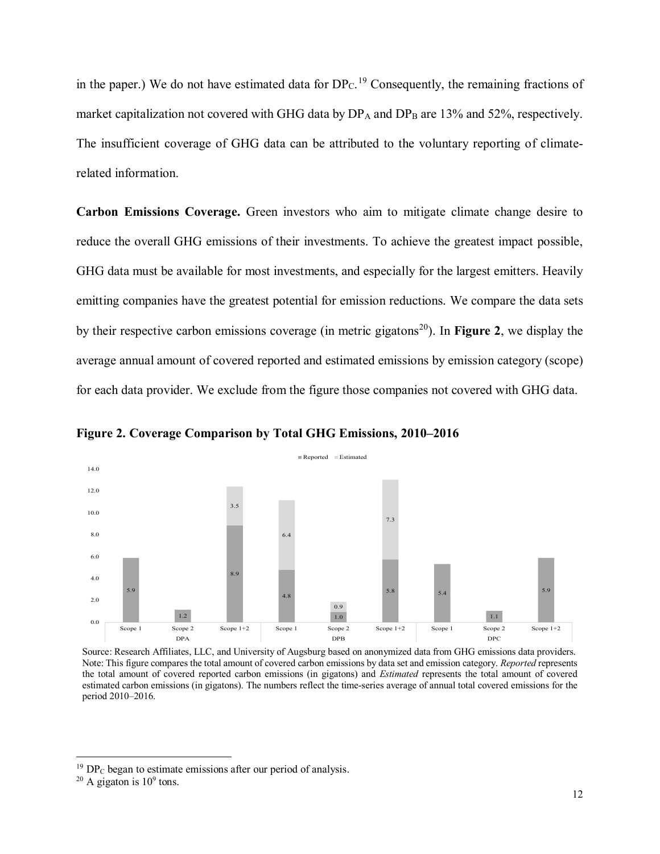in the paper.) We do not have estimated data for  $DP<sub>C</sub>$ .<sup>[19](#page-11-0)</sup> Consequently, the remaining fractions of market capitalization not covered with GHG data by  $DP_A$  and  $DP_B$  are 13% and 52%, respectively. The insufficient coverage of GHG data can be attributed to the voluntary reporting of climaterelated information.

**Carbon Emissions Coverage.** Green investors who aim to mitigate climate change desire to reduce the overall GHG emissions of their investments. To achieve the greatest impact possible, GHG data must be available for most investments, and especially for the largest emitters. Heavily emitting companies have the greatest potential for emission reductions. We compare the data sets by their respective carbon emissions coverage (in metric gigatons<sup>[20](#page-11-1)</sup>). In **Figure 2**, we display the average annual amount of covered reported and estimated emissions by emission category (scope) for each data provider. We exclude from the figure those companies not covered with GHG data.



**Figure 2. Coverage Comparison by Total GHG Emissions, 2010–2016**

Source: Research Affiliates, LLC, and University of Augsburg based on anonymized data from GHG emissions data providers. Note: This figure compares the total amount of covered carbon emissions by data set and emission category. *Reported* represents the total amount of covered reported carbon emissions (in gigatons) and *Estimated* represents the total amount of covered estimated carbon emissions (in gigatons). The numbers reflect the time-series average of annual total covered emissions for the period 2010–2016.

 $19$  DP<sub>C</sub> began to estimate emissions after our period of analysis.

<span id="page-11-1"></span><span id="page-11-0"></span> $20$  A gigaton is  $10^9$  tons.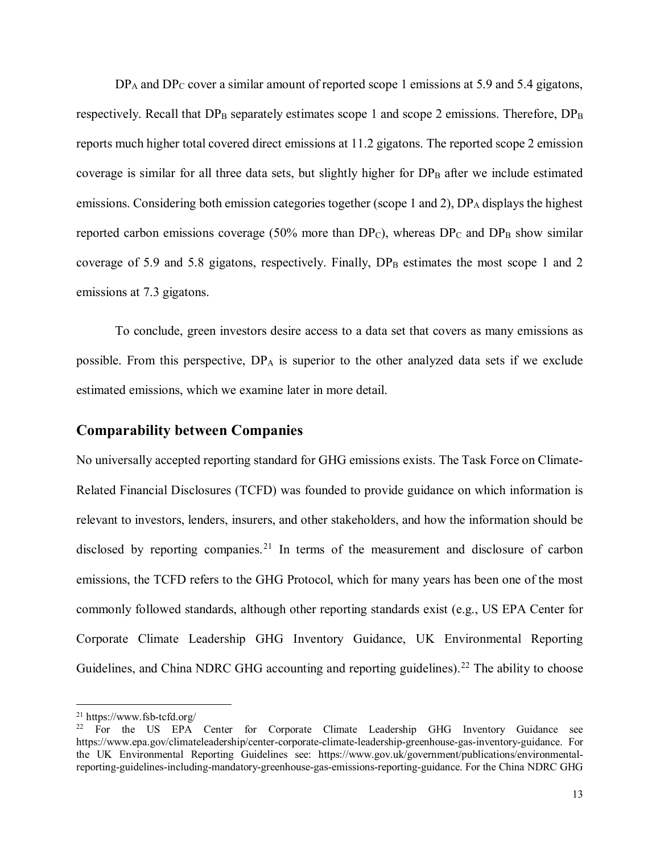$DP_A$  and  $DP_C$  cover a similar amount of reported scope 1 emissions at 5.9 and 5.4 gigatons, respectively. Recall that  $DP_B$  separately estimates scope 1 and scope 2 emissions. Therefore,  $DP_B$ reports much higher total covered direct emissions at 11.2 gigatons. The reported scope 2 emission coverage is similar for all three data sets, but slightly higher for  $DP<sub>B</sub>$  after we include estimated emissions. Considering both emission categories together (scope 1 and 2),  $DP_A$  displays the highest reported carbon emissions coverage (50% more than  $DP_C$ ), whereas  $DP_C$  and  $DP_B$  show similar coverage of 5.9 and 5.8 gigatons, respectively. Finally,  $DP_B$  estimates the most scope 1 and 2 emissions at 7.3 gigatons.

To conclude, green investors desire access to a data set that covers as many emissions as possible. From this perspective,  $DP_A$  is superior to the other analyzed data sets if we exclude estimated emissions, which we examine later in more detail.

#### **Comparability between Companies**

No universally accepted reporting standard for GHG emissions exists. The Task Force on Climate-Related Financial Disclosures (TCFD) was founded to provide guidance on which information is relevant to investors, lenders, insurers, and other stakeholders, and how the information should be disclosed by reporting companies.<sup>[21](#page-12-0)</sup> In terms of the measurement and disclosure of carbon emissions, the TCFD refers to the GHG Protocol, which for many years has been one of the most commonly followed standards, although other reporting standards exist (e.g., US EPA Center for Corporate Climate Leadership GHG Inventory Guidance, UK Environmental Reporting Guidelines, and China NDRC GHG accounting and reporting guidelines).<sup>[22](#page-12-1)</sup> The ability to choose

<span id="page-12-0"></span> <sup>21</sup> https://www.fsb-tcfd.org/

<span id="page-12-1"></span><sup>&</sup>lt;sup>22</sup> For the US EPA Center for Corporate Climate Leadership GHG Inventory Guidance see https://www.epa.gov/climateleadership/center-corporate-climate-leadership-greenhouse-gas-inventory-guidance. For the UK Environmental Reporting Guidelines see: https://www.gov.uk/government/publications/environmentalreporting-guidelines-including-mandatory-greenhouse-gas-emissions-reporting-guidance. For the China NDRC GHG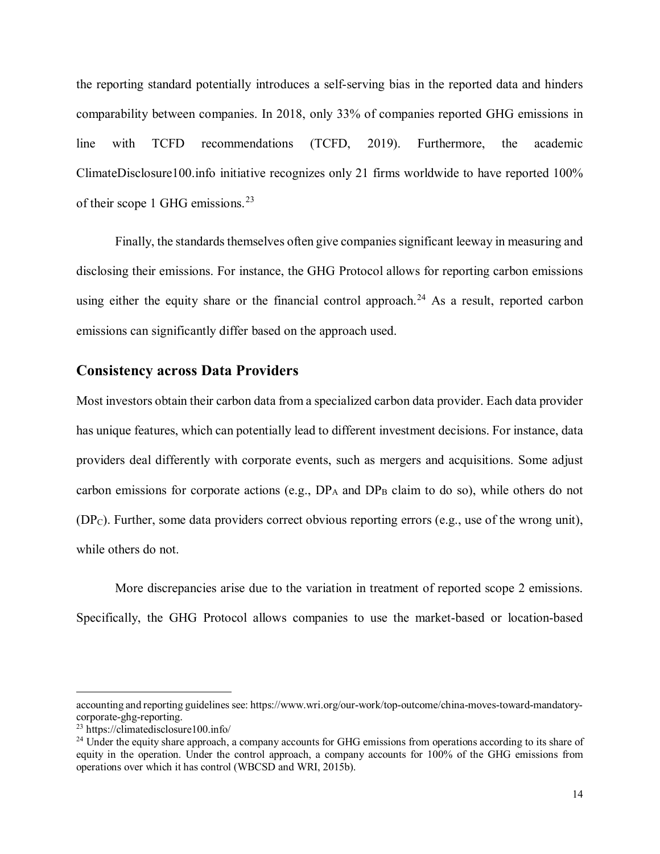the reporting standard potentially introduces a self-serving bias in the reported data and hinders comparability between companies. In 2018, only 33% of companies reported GHG emissions in line with TCFD recommendations (TCFD, 2019). Furthermore, the academic ClimateDisclosure100.info initiative recognizes only 21 firms worldwide to have reported 100% of their scope 1 GHG emissions.  $23$ 

Finally, the standards themselves often give companies significant leeway in measuring and disclosing their emissions. For instance, the GHG Protocol allows for reporting carbon emissions using either the equity share or the financial control approach.<sup>[24](#page-13-1)</sup> As a result, reported carbon emissions can significantly differ based on the approach used.

#### **Consistency across Data Providers**

Most investors obtain their carbon data from a specialized carbon data provider. Each data provider has unique features, which can potentially lead to different investment decisions. For instance, data providers deal differently with corporate events, such as mergers and acquisitions. Some adjust carbon emissions for corporate actions (e.g.,  $DP_A$  and  $DP_B$  claim to do so), while others do not  $(DP<sub>C</sub>)$ . Further, some data providers correct obvious reporting errors (e.g., use of the wrong unit), while others do not.

More discrepancies arise due to the variation in treatment of reported scope 2 emissions. Specifically, the GHG Protocol allows companies to use the market-based or location-based

 $\overline{a}$ 

accounting and reporting guidelines see: https://www.wri.org/our-work/top-outcome/china-moves-toward-mandatory-<br>corporate-ghg-reporting.

<span id="page-13-0"></span> $23$  https://climatedisclosure100.info/

<span id="page-13-1"></span><sup>&</sup>lt;sup>24</sup> Under the equity share approach, a company accounts for GHG emissions from operations according to its share of equity in the operation. Under the control approach, a company accounts for 100% of the GHG emissions from operations over which it has control (WBCSD and WRI, 2015b).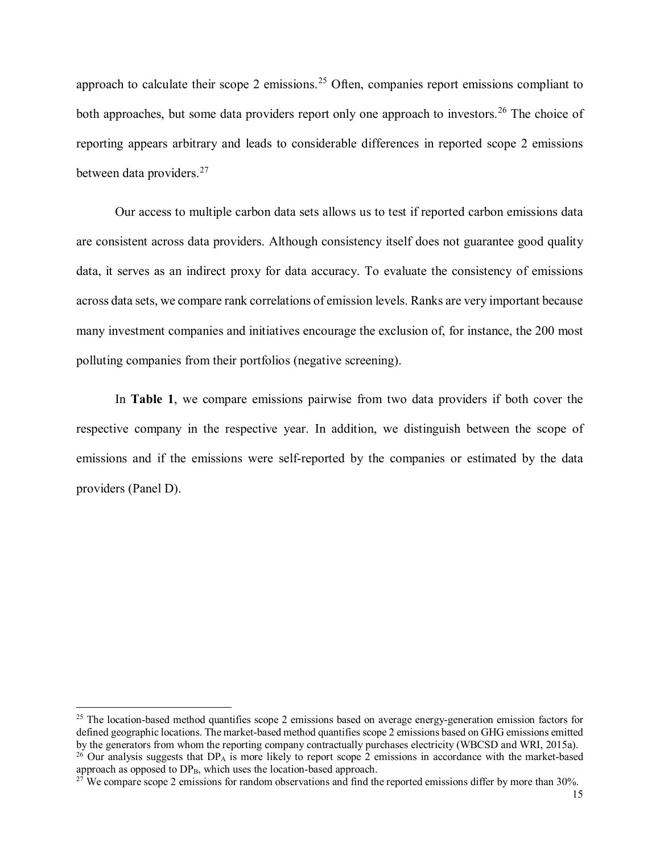approach to calculate their scope 2 emissions.<sup>[25](#page-14-0)</sup> Often, companies report emissions compliant to both approaches, but some data providers report only one approach to investors.<sup>[26](#page-14-1)</sup> The choice of reporting appears arbitrary and leads to considerable differences in reported scope 2 emissions between data providers.[27](#page-14-2)

Our access to multiple carbon data sets allows us to test if reported carbon emissions data are consistent across data providers. Although consistency itself does not guarantee good quality data, it serves as an indirect proxy for data accuracy. To evaluate the consistency of emissions across data sets, we compare rank correlations of emission levels. Ranks are very important because many investment companies and initiatives encourage the exclusion of, for instance, the 200 most polluting companies from their portfolios (negative screening).

In **Table 1**, we compare emissions pairwise from two data providers if both cover the respective company in the respective year. In addition, we distinguish between the scope of emissions and if the emissions were self-reported by the companies or estimated by the data providers (Panel D).

<span id="page-14-0"></span> $25$  The location-based method quantifies scope 2 emissions based on average energy-generation emission factors for defined geographic locations. The market-based method quantifies scope 2 emissions based on GHG emissions emitted by the generators from whom the reporting company contractually purchases electricity (WBCSD and WRI, 2015a). <sup>26</sup> Our analysis suggests that DP<sub>A</sub> is more likely to report scope 2 emissions in accordance with the market-based

<span id="page-14-2"></span><span id="page-14-1"></span>approach as opposed to  $DP_B$ , which uses the location-based approach.  $27$  We compare scope 2 emissions for random observations and find the reported emissions differ by more than 30%.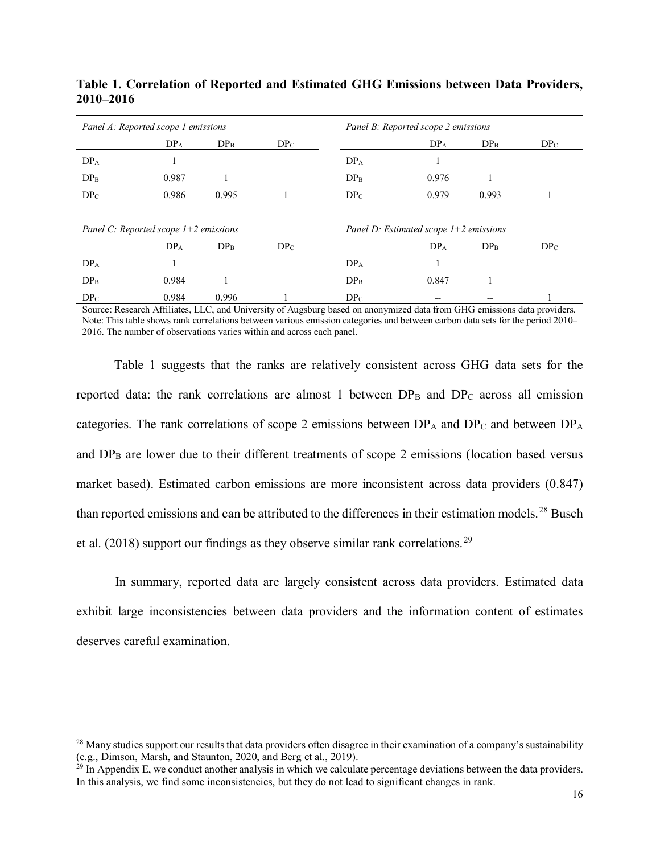| Panel A: Reported scope 1 emissions     |                 |                 |                 | Panel B: Reported scope 2 emissions      |                 |                 |                 |  |
|-----------------------------------------|-----------------|-----------------|-----------------|------------------------------------------|-----------------|-----------------|-----------------|--|
|                                         | DP <sub>A</sub> | DP <sub>B</sub> | $DP_C$          |                                          | DP <sub>A</sub> | DP <sub>B</sub> | DP <sub>C</sub> |  |
| DP <sub>A</sub>                         |                 |                 |                 | DP <sub>A</sub>                          |                 |                 |                 |  |
| DP <sub>B</sub>                         | 0.987           |                 |                 | DP <sub>B</sub>                          | 0.976           |                 |                 |  |
| DP <sub>C</sub>                         | 0.986           | 0.995           |                 | DP <sub>C</sub>                          | 0.979           | 0.993           |                 |  |
|                                         |                 |                 |                 |                                          |                 |                 |                 |  |
| Panel C: Reported scope $1+2$ emissions |                 |                 |                 | Panel D: Estimated scope $1+2$ emissions |                 |                 |                 |  |
|                                         | DP <sub>A</sub> | DP <sub>B</sub> | DP <sub>C</sub> |                                          | DP <sub>A</sub> | DP <sub>B</sub> | DP <sub>C</sub> |  |
| DP <sub>A</sub>                         |                 |                 |                 | DP <sub>A</sub>                          |                 |                 |                 |  |
| DP <sub>B</sub>                         | 0.984           |                 |                 | DP <sub>B</sub>                          | 0.847           |                 |                 |  |
| DP <sub>C</sub>                         | 0.984           | 0.996           |                 | DP <sub>C</sub>                          |                 |                 |                 |  |

### **Table 1. Correlation of Reported and Estimated GHG Emissions between Data Providers, 2010–2016**

Source: Research Affiliates, LLC, and University of Augsburg based on anonymized data from GHG emissions data providers. Note: This table shows rank correlations between various emission categories and between carbon data sets for the period 2010– 2016. The number of observations varies within and across each panel.

Table 1 suggests that the ranks are relatively consistent across GHG data sets for the reported data: the rank correlations are almost 1 between  $DP_B$  and  $DP_C$  across all emission categories. The rank correlations of scope 2 emissions between  $DP_A$  and  $DP_C$  and between  $DP_A$ and  $DP<sub>B</sub>$  are lower due to their different treatments of scope 2 emissions (location based versus market based). Estimated carbon emissions are more inconsistent across data providers (0.847) than reported emissions and can be attributed to the differences in their estimation models.<sup>[28](#page-15-0)</sup> Busch et al.  $(2018)$  support our findings as they observe similar rank correlations.<sup>[29](#page-15-1)</sup>

In summary, reported data are largely consistent across data providers. Estimated data exhibit large inconsistencies between data providers and the information content of estimates deserves careful examination.

<span id="page-15-0"></span><sup>&</sup>lt;sup>28</sup> Many studies support our results that data providers often disagree in their examination of a company's sustainability (e.g., Dimson, Marsh, and Staunton, 2020, and Berg et al., 2019).

<span id="page-15-1"></span> $^{29}$  In Appendix E, we conduct another analysis in which we calculate percentage deviations between the data providers. In this analysis, we find some inconsistencies, but they do not lead to significant changes in rank.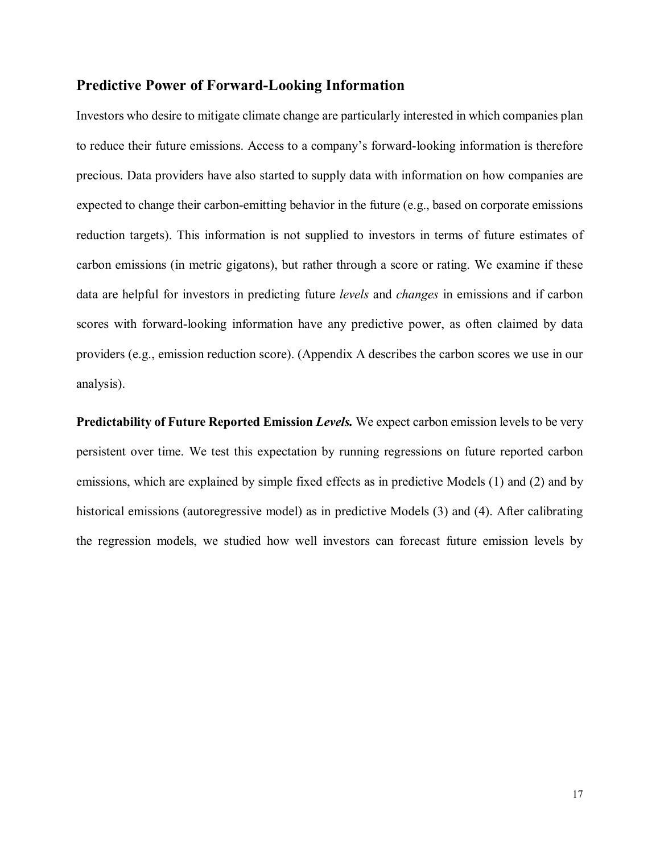### **Predictive Power of Forward-Looking Information**

Investors who desire to mitigate climate change are particularly interested in which companies plan to reduce their future emissions. Access to a company's forward-looking information is therefore precious. Data providers have also started to supply data with information on how companies are expected to change their carbon-emitting behavior in the future (e.g., based on corporate emissions reduction targets). This information is not supplied to investors in terms of future estimates of carbon emissions (in metric gigatons), but rather through a score or rating. We examine if these data are helpful for investors in predicting future *levels* and *changes* in emissions and if carbon scores with forward-looking information have any predictive power, as often claimed by data providers (e.g., emission reduction score). (Appendix A describes the carbon scores we use in our analysis).

**Predictability of Future Reported Emission** *Levels.* We expect carbon emission levels to be very persistent over time. We test this expectation by running regressions on future reported carbon emissions, which are explained by simple fixed effects as in predictive Models (1) and (2) and by historical emissions (autoregressive model) as in predictive Models (3) and (4). After calibrating the regression models, we studied how well investors can forecast future emission levels by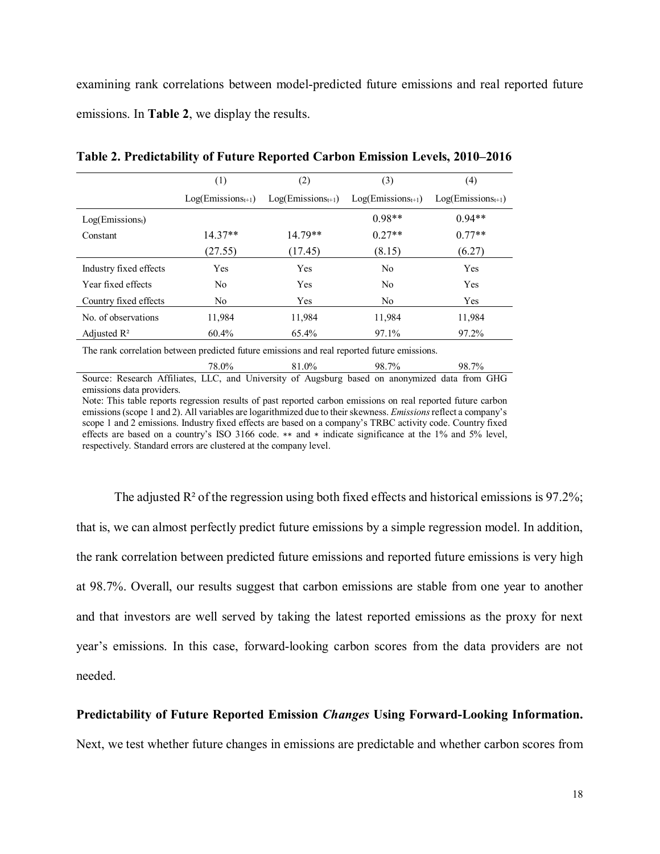examining rank correlations between model-predicted future emissions and real reported future emissions. In **Table 2**, we display the results.

| (1)                    | (2)                    | (3)                    | (4)                    |
|------------------------|------------------------|------------------------|------------------------|
| $Log(Emissions_{t+1})$ | $Log(Emissions_{t+1})$ | $Log(Emissions_{t+1})$ | $Log(Emissions_{t+1})$ |
|                        |                        | $0.98**$               | $0.94**$               |
| $14.37**$              | $14.79**$              | $0.27**$               | $0.77**$               |
| (27.55)                | (17.45)                | (8.15)                 | (6.27)                 |
| <b>Yes</b>             | <b>Yes</b>             | No                     | Yes                    |
| No                     | <b>Yes</b>             | N <sub>0</sub>         | Yes                    |
| N <sub>o</sub>         | <b>Yes</b>             | No                     | <b>Yes</b>             |
| 11,984                 | 11.984                 | 11,984                 | 11,984                 |
| 60.4%                  | 65.4%                  | 97.1%                  | 97.2%                  |
|                        |                        |                        |                        |

**Table 2. Predictability of Future Reported Carbon Emission Levels, 2010–2016**

The rank correlation between predicted future emissions and real reported future emissions.

78.0% 81.0% 98.7% 98.7% Source: Research Affiliates, LLC, and University of Augsburg based on anonymized data from GHG emissions data providers.

Note: This table reports regression results of past reported carbon emissions on real reported future carbon emissions (scope 1 and 2). All variables are logarithmized due to their skewness. *Emissions* reflect a company's scope 1 and 2 emissions. Industry fixed effects are based on a company's TRBC activity code. Country fixed effects are based on a country's ISO 3166 code. ∗∗ and ∗ indicate significance at the 1% and 5% level, respectively. Standard errors are clustered at the company level.

The adjusted  $\mathbb{R}^2$  of the regression using both fixed effects and historical emissions is 97.2%; that is, we can almost perfectly predict future emissions by a simple regression model. In addition, the rank correlation between predicted future emissions and reported future emissions is very high at 98.7%. Overall, our results suggest that carbon emissions are stable from one year to another and that investors are well served by taking the latest reported emissions as the proxy for next year's emissions. In this case, forward-looking carbon scores from the data providers are not needed.

#### **Predictability of Future Reported Emission** *Changes* **Using Forward-Looking Information.**

Next, we test whether future changes in emissions are predictable and whether carbon scores from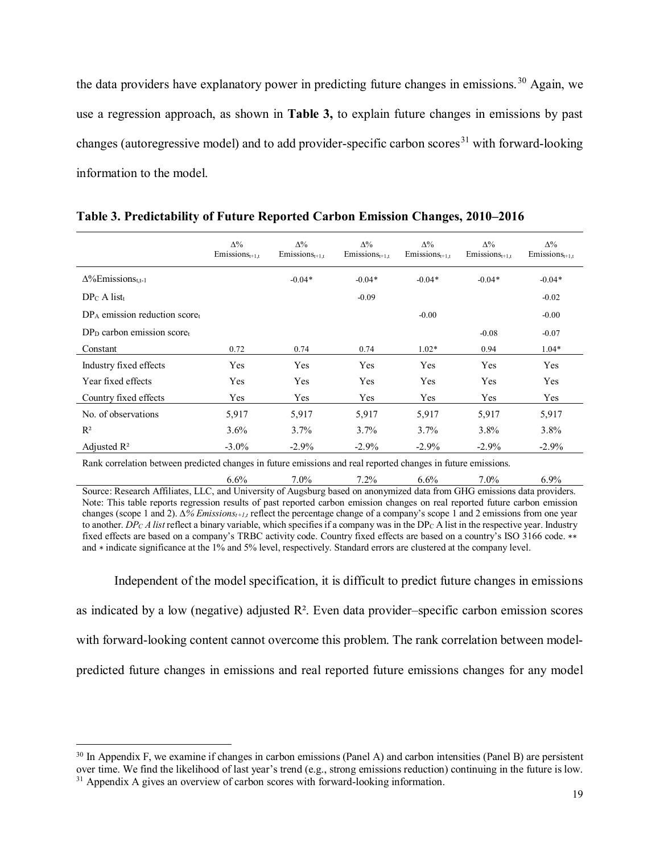the data providers have explanatory power in predicting future changes in emissions.<sup>[30](#page-18-0)</sup> Again, we use a regression approach, as shown in **Table 3,** to explain future changes in emissions by past changes (autoregressive model) and to add provider-specific carbon scores<sup>[31](#page-18-1)</sup> with forward-looking information to the model.

|                                                                                                               | $\Delta\%$<br>$E$ missions <sub>t+1,t</sub> | $\Delta\%$<br>$E$ missions <sub>t+1,t</sub> | $\Delta\%$<br>$E$ missions <sub>t+1,t</sub> | $\Delta\%$<br>$E$ missions <sub>t+1,t</sub> | $\Delta\%$<br>$E$ missions <sub>t+1,t</sub> | $\Delta\%$<br>$E$ missions <sub>t+1,t</sub> |  |  |  |  |
|---------------------------------------------------------------------------------------------------------------|---------------------------------------------|---------------------------------------------|---------------------------------------------|---------------------------------------------|---------------------------------------------|---------------------------------------------|--|--|--|--|
| $\Delta\%$ Emissions <sub>t.t-1</sub>                                                                         |                                             | $-0.04*$                                    | $-0.04*$                                    | $-0.04*$                                    | $-0.04*$                                    | $-0.04*$                                    |  |  |  |  |
| $DP_C A list_t$                                                                                               |                                             |                                             | $-0.09$                                     |                                             |                                             | $-0.02$                                     |  |  |  |  |
| $DP_A$ emission reduction score                                                                               |                                             |                                             |                                             | $-0.00$                                     |                                             | $-0.00$                                     |  |  |  |  |
| $DPD$ carbon emission scoret                                                                                  |                                             |                                             |                                             |                                             | $-0.08$                                     | $-0.07$                                     |  |  |  |  |
| Constant                                                                                                      | 0.72                                        | 0.74                                        | 0.74                                        | $1.02*$                                     | 0.94                                        | $1.04*$                                     |  |  |  |  |
| Industry fixed effects                                                                                        | Yes                                         | Yes                                         | Yes                                         | Yes                                         | Yes                                         | Yes                                         |  |  |  |  |
| Year fixed effects                                                                                            | Yes                                         | Yes                                         | Yes                                         | Yes                                         | Yes                                         | Yes                                         |  |  |  |  |
| Country fixed effects                                                                                         | Yes                                         | Yes                                         | Yes                                         | Yes                                         | Yes                                         | Yes                                         |  |  |  |  |
| No. of observations                                                                                           | 5,917                                       | 5,917                                       | 5,917                                       | 5,917                                       | 5,917                                       | 5,917                                       |  |  |  |  |
| $R^2$                                                                                                         | 3.6%                                        | 3.7%                                        | 3.7%                                        | 3.7%                                        | 3.8%                                        | $3.8\%$                                     |  |  |  |  |
| Adjusted $\mathbb{R}^2$                                                                                       | $-3.0\%$                                    | $-2.9\%$                                    | $-2.9\%$                                    | $-2.9\%$                                    | $-2.9\%$                                    | $-2.9%$                                     |  |  |  |  |
| Rank correlation between predicted changes in future emissions and real reported changes in future emissions. |                                             |                                             |                                             |                                             |                                             |                                             |  |  |  |  |

**Table 3. Predictability of Future Reported Carbon Emission Changes, 2010–2016**

 $6.6\%$  7.0% 7.2% 6.6% 7.0% 6.9% Source: Research Affiliates, LLC, and University of Augsburg based on anonymized data from GHG emissions data providers. Note: This table reports regression results of past reported carbon emission changes on real reported future carbon emission changes (scope 1 and 2). *∆% Emissionst+1,t* reflect the percentage change of a company's scope 1 and 2 emissions from one year to another. *DP<sub>C</sub>A list* reflect a binary variable, which specifies if a company was in the DP<sub>C</sub> A list in the respective year. Industry fixed effects are based on a company's TRBC activity code. Country fixed effects are based on a country's ISO 3166 code. ∗∗ and ∗ indicate significance at the 1% and 5% level, respectively. Standard errors are clustered at the company level.

Independent of the model specification, it is difficult to predict future changes in emissions as indicated by a low (negative) adjusted R². Even data provider–specific carbon emission scores with forward-looking content cannot overcome this problem. The rank correlation between modelpredicted future changes in emissions and real reported future emissions changes for any model

<span id="page-18-1"></span><span id="page-18-0"></span><sup>&</sup>lt;sup>30</sup> In Appendix F, we examine if changes in carbon emissions (Panel A) and carbon intensities (Panel B) are persistent over time. We find the likelihood of last year's trend (e.g., strong emissions reduction) continuing in the future is low. <sup>31</sup> Appendix A gives an overview of carbon scores with forward-looking information.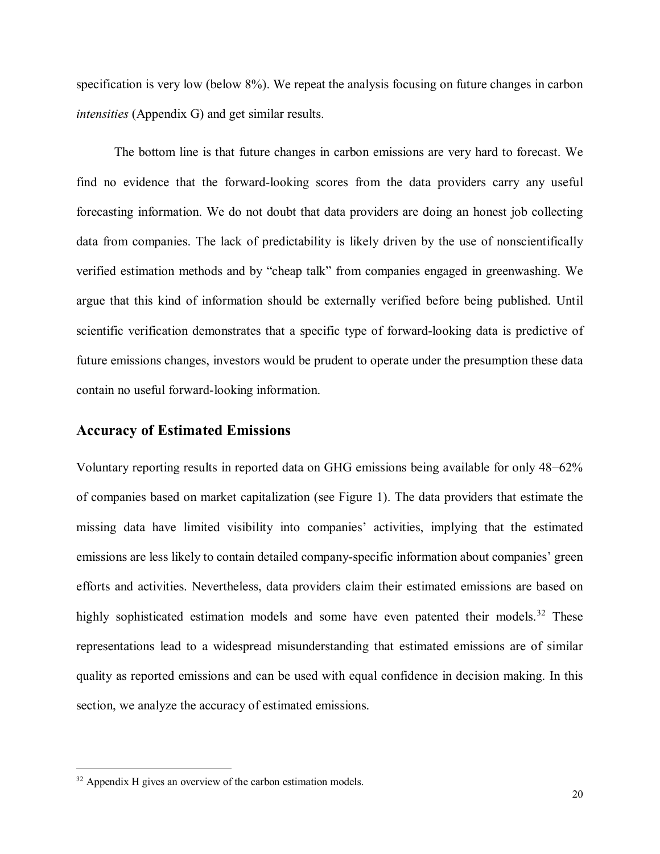specification is very low (below 8%). We repeat the analysis focusing on future changes in carbon *intensities* (Appendix G) and get similar results.

The bottom line is that future changes in carbon emissions are very hard to forecast. We find no evidence that the forward-looking scores from the data providers carry any useful forecasting information. We do not doubt that data providers are doing an honest job collecting data from companies. The lack of predictability is likely driven by the use of nonscientifically verified estimation methods and by "cheap talk" from companies engaged in greenwashing. We argue that this kind of information should be externally verified before being published. Until scientific verification demonstrates that a specific type of forward-looking data is predictive of future emissions changes, investors would be prudent to operate under the presumption these data contain no useful forward-looking information.

#### **Accuracy of Estimated Emissions**

Voluntary reporting results in reported data on GHG emissions being available for only 48−62% of companies based on market capitalization (see Figure 1). The data providers that estimate the missing data have limited visibility into companies' activities, implying that the estimated emissions are less likely to contain detailed company-specific information about companies' green efforts and activities. Nevertheless, data providers claim their estimated emissions are based on highly sophisticated estimation models and some have even patented their models.<sup>[32](#page-19-0)</sup> These representations lead to a widespread misunderstanding that estimated emissions are of similar quality as reported emissions and can be used with equal confidence in decision making. In this section, we analyze the accuracy of estimated emissions.

<span id="page-19-0"></span> $32$  Appendix H gives an overview of the carbon estimation models.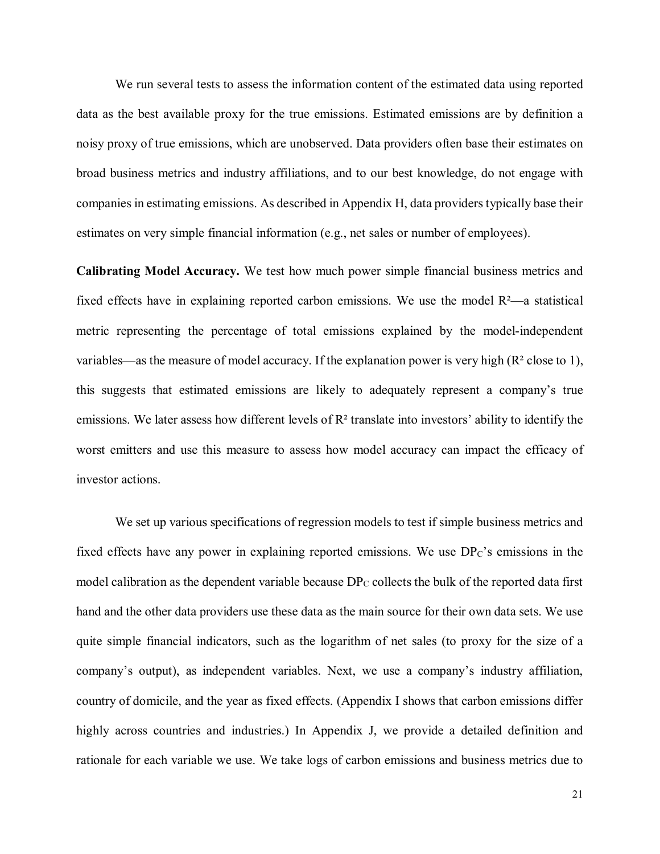We run several tests to assess the information content of the estimated data using reported data as the best available proxy for the true emissions. Estimated emissions are by definition a noisy proxy of true emissions, which are unobserved. Data providers often base their estimates on broad business metrics and industry affiliations, and to our best knowledge, do not engage with companies in estimating emissions. As described in Appendix H, data providers typically base their estimates on very simple financial information (e.g., net sales or number of employees).

**Calibrating Model Accuracy.** We test how much power simple financial business metrics and fixed effects have in explaining reported carbon emissions. We use the model  $R<sup>2</sup>$ —a statistical metric representing the percentage of total emissions explained by the model-independent variables—as the measure of model accuracy. If the explanation power is very high (R² close to 1), this suggests that estimated emissions are likely to adequately represent a company's true emissions. We later assess how different levels of R² translate into investors' ability to identify the worst emitters and use this measure to assess how model accuracy can impact the efficacy of investor actions.

We set up various specifications of regression models to test if simple business metrics and fixed effects have any power in explaining reported emissions. We use  $DP<sub>C</sub>$ 's emissions in the model calibration as the dependent variable because  $DP_C$  collects the bulk of the reported data first hand and the other data providers use these data as the main source for their own data sets. We use quite simple financial indicators, such as the logarithm of net sales (to proxy for the size of a company's output), as independent variables. Next, we use a company's industry affiliation, country of domicile, and the year as fixed effects. (Appendix I shows that carbon emissions differ highly across countries and industries.) In Appendix J, we provide a detailed definition and rationale for each variable we use. We take logs of carbon emissions and business metrics due to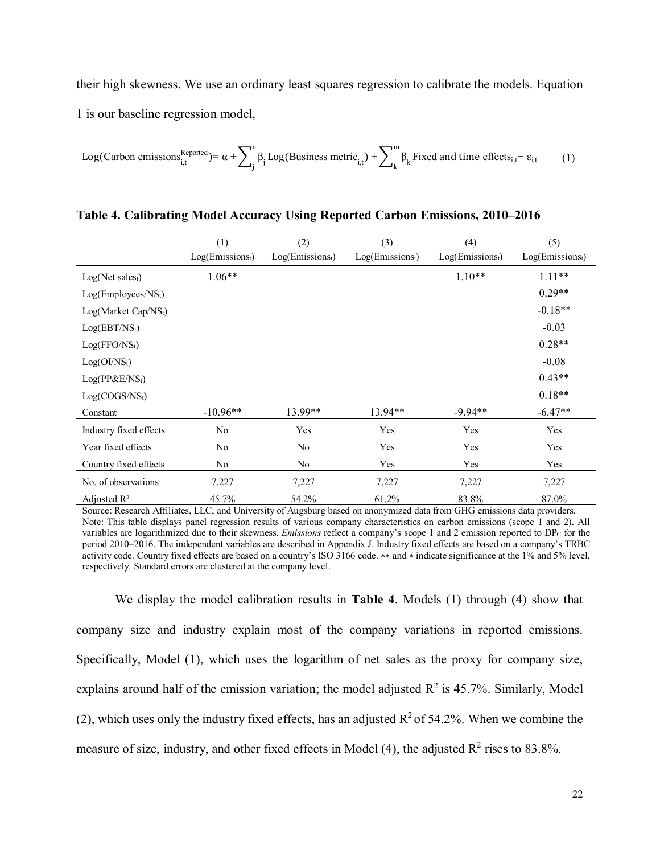their high skewness. We use an ordinary least squares regression to calibrate the models. Equation 1 is our baseline regression model,

Log(Carbon emissions<sub>i,t</sub><sup>Reported</sup>) = 
$$
\alpha + \sum_{j}^{n} \beta_{j} Log(Business metric_{i,t}) + \sum_{k}^{m} \beta_{k} Fixed and time effects_{i,t} + \varepsilon_{i,t}
$$
 (1)

|                                  | (1)                | (2)                | (3)                | (4)                | (5)                |
|----------------------------------|--------------------|--------------------|--------------------|--------------------|--------------------|
|                                  | $Log(Emissions_t)$ | $Log(Emissions_t)$ | $Log(Emissions_t)$ | $Log(Emissions_t)$ | $Log(Emissions_t)$ |
| Log(Net sales <sub>t</sub> )     | $1.06**$           |                    |                    | $1.10**$           | $1.11***$          |
| Log(Employees/NS <sub>t</sub> )  |                    |                    |                    |                    | $0.29**$           |
| Log(Marker Cap/NS <sub>t</sub> ) |                    |                    |                    |                    | $-0.18**$          |
| Log(EBT/NS <sub>t</sub> )        |                    |                    |                    |                    | $-0.03$            |
| Log(FFO/NS <sub>t</sub> )        |                    |                    |                    |                    | $0.28**$           |
| Log(OI/NS <sub>t</sub> )         |                    |                    |                    |                    | $-0.08$            |
| $Log(PP\&E/NSt)$                 |                    |                    |                    |                    | $0.43**$           |
| Log(COGS/NS <sub>t</sub> )       |                    |                    |                    |                    | $0.18**$           |
| Constant                         | $-10.96**$         | 13.99**            | $13.94**$          | $-9.94**$          | $-6.47**$          |
| Industry fixed effects           | No                 | Yes                | Yes                | Yes                | Yes                |
| Year fixed effects               | No                 | No                 | Yes                | Yes                | Yes                |
| Country fixed effects            | No                 | No                 | Yes                | Yes                | Yes                |
| No. of observations              | 7,227              | 7,227              | 7,227              | 7,227              | 7,227              |
| Adjusted $\mathbb{R}^2$          | 45.7%              | 54.2%              | 61.2%              | 83.8%              | 87.0%              |

Source: Research Affiliates, LLC, and University of Augsburg based on anonymized data from GHG emissions data providers. Note: This table displays panel regression results of various company characteristics on carbon emissions (scope 1 and 2). All variables are logarithmized due to their skewness. *Emissions* reflect a company's scope 1 and 2 emission reported to DPC for the period 2010–2016. The independent variables are described in Appendix J. Industry fixed effects are based on a company's TRBC activity code. Country fixed effects are based on a country's ISO 3166 code. ∗∗ and ∗ indicate significance at the 1% and 5% level, respectively. Standard errors are clustered at the company level.

We display the model calibration results in **Table 4**. Models (1) through (4) show that company size and industry explain most of the company variations in reported emissions. Specifically, Model (1), which uses the logarithm of net sales as the proxy for company size, explains around half of the emission variation; the model adjusted  $R^2$  is 45.7%. Similarly, Model (2), which uses only the industry fixed effects, has an adjusted  $R^2$  of 54.2%. When we combine the measure of size, industry, and other fixed effects in Model (4), the adjusted  $R^2$  rises to 83.8%.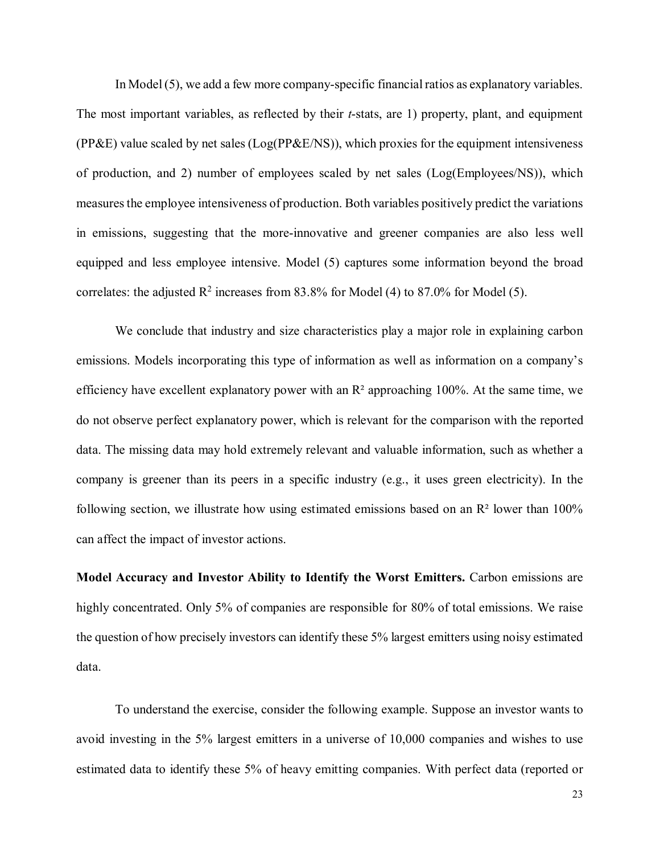In Model (5), we add a few more company-specific financial ratios as explanatory variables. The most important variables, as reflected by their *t*-stats, are 1) property, plant, and equipment  $(PP\&E)$  value scaled by net sales  $(Log(PP\&E/NS))$ , which proxies for the equipment intensiveness of production, and 2) number of employees scaled by net sales (Log(Employees/NS)), which measures the employee intensiveness of production. Both variables positively predict the variations in emissions, suggesting that the more-innovative and greener companies are also less well equipped and less employee intensive. Model (5) captures some information beyond the broad correlates: the adjusted  $\mathbb{R}^2$  increases from 83.8% for Model (4) to 87.0% for Model (5).

We conclude that industry and size characteristics play a major role in explaining carbon emissions. Models incorporating this type of information as well as information on a company's efficiency have excellent explanatory power with an  $R<sup>2</sup>$  approaching 100%. At the same time, we do not observe perfect explanatory power, which is relevant for the comparison with the reported data. The missing data may hold extremely relevant and valuable information, such as whether a company is greener than its peers in a specific industry (e.g., it uses green electricity). In the following section, we illustrate how using estimated emissions based on an  $\mathbb{R}^2$  lower than 100% can affect the impact of investor actions.

**Model Accuracy and Investor Ability to Identify the Worst Emitters.** Carbon emissions are highly concentrated. Only 5% of companies are responsible for 80% of total emissions. We raise the question of how precisely investors can identify these 5% largest emitters using noisy estimated data.

To understand the exercise, consider the following example. Suppose an investor wants to avoid investing in the 5% largest emitters in a universe of 10,000 companies and wishes to use estimated data to identify these 5% of heavy emitting companies. With perfect data (reported or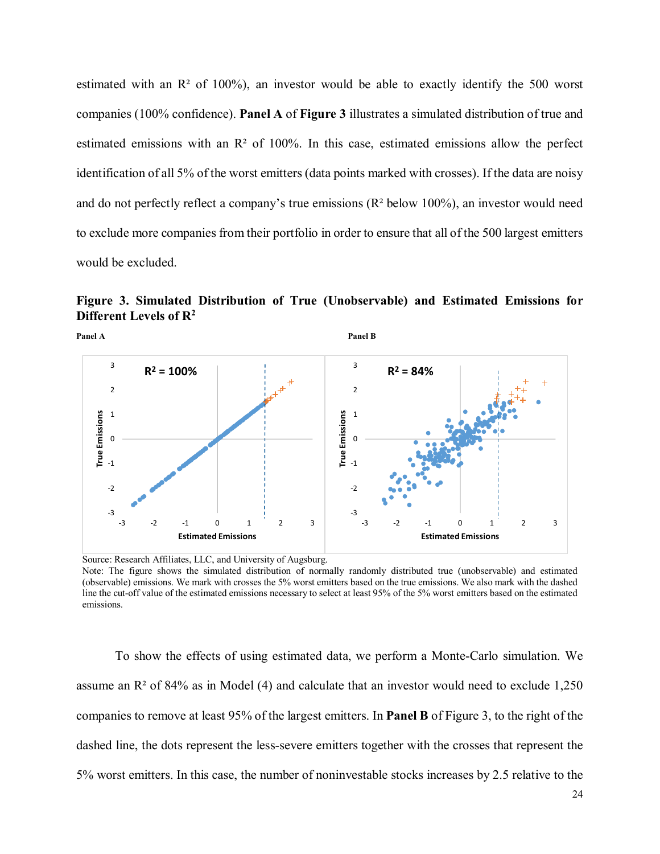estimated with an  $\mathbb{R}^2$  of 100%), an investor would be able to exactly identify the 500 worst companies (100% confidence). **Panel A** of **Figure 3** illustrates a simulated distribution of true and estimated emissions with an  $\mathbb{R}^2$  of 100%. In this case, estimated emissions allow the perfect identification of all 5% of the worst emitters (data points marked with crosses). If the data are noisy and do not perfectly reflect a company's true emissions (R² below 100%), an investor would need to exclude more companies from their portfolio in order to ensure that all of the 500 largest emitters would be excluded.





Source: Research Affiliates, LLC, and University of Augsburg. Note: The figure shows the simulated distribution of normally randomly distributed true (unobservable) and estimated (observable) emissions. We mark with crosses the 5% worst emitters based on the true emissions. We also mark with the dashed line the cut-off value of the estimated emissions necessary to select at least 95% of the 5% worst emitters based on the estimated emissions.

To show the effects of using estimated data, we perform a Monte-Carlo simulation. We assume an  $\mathbb{R}^2$  of 84% as in Model (4) and calculate that an investor would need to exclude 1,250 companies to remove at least 95% of the largest emitters. In **Panel B** of Figure 3, to the right of the dashed line, the dots represent the less-severe emitters together with the crosses that represent the 5% worst emitters. In this case, the number of noninvestable stocks increases by 2.5 relative to the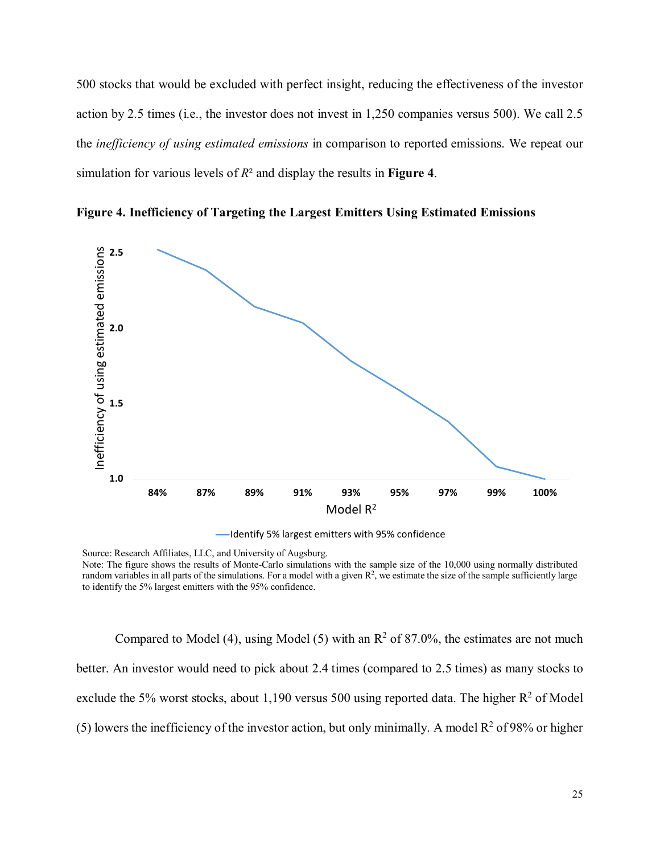500 stocks that would be excluded with perfect insight, reducing the effectiveness of the investor action by 2.5 times (i.e., the investor does not invest in 1,250 companies versus 500). We call 2.5 the *inefficiency of using estimated emissions* in comparison to reported emissions. We repeat our simulation for various levels of *R*² and display the results in **Figure 4**.



**Figure 4. Inefficiency of Targeting the Largest Emitters Using Estimated Emissions**

-Identify 5% largest emitters with 95% confidence

Source: Research Affiliates, LLC, and University of Augsburg. Note: The figure shows the results of Monte-Carlo simulations with the sample size of the 10,000 using normally distributed random variables in all parts of the simulations. For a model with a given  $R^2$ , we estimate the size of the sample sufficiently large to identify the 5% largest emitters with the 95% confidence.

Compared to Model (4), using Model (5) with an  $R^2$  of 87.0%, the estimates are not much better. An investor would need to pick about 2.4 times (compared to 2.5 times) as many stocks to exclude the 5% worst stocks, about 1,190 versus 500 using reported data. The higher  $R^2$  of Model (5) lowers the inefficiency of the investor action, but only minimally. A model  $R^2$  of 98% or higher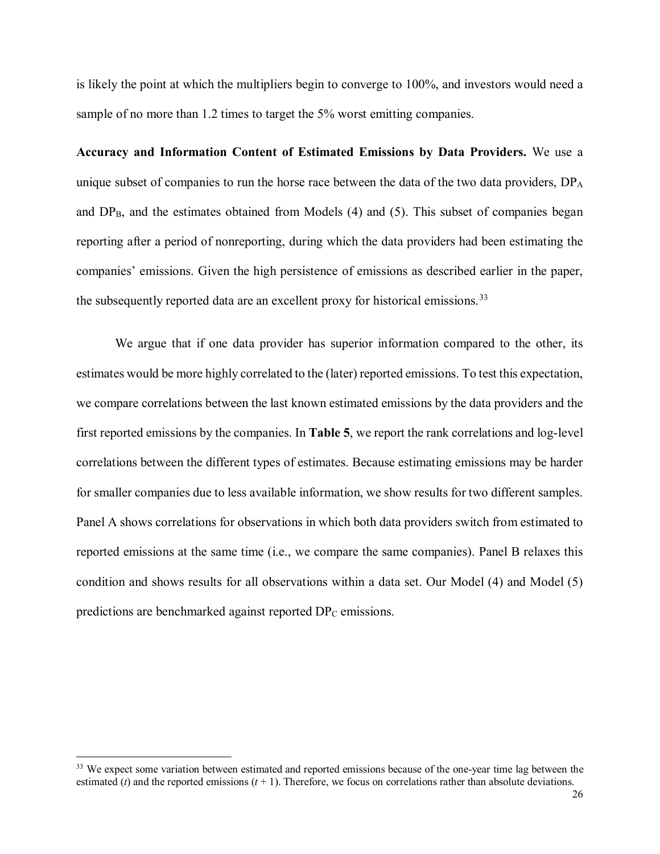is likely the point at which the multipliers begin to converge to 100%, and investors would need a sample of no more than 1.2 times to target the 5% worst emitting companies.

**Accuracy and Information Content of Estimated Emissions by Data Providers.** We use a unique subset of companies to run the horse race between the data of the two data providers,  $DP<sub>A</sub>$ and  $DP_B$ , and the estimates obtained from Models (4) and (5). This subset of companies began reporting after a period of nonreporting, during which the data providers had been estimating the companies' emissions. Given the high persistence of emissions as described earlier in the paper, the subsequently reported data are an excellent proxy for historical emissions.<sup>[33](#page-25-0)</sup>

We argue that if one data provider has superior information compared to the other, its estimates would be more highly correlated to the (later) reported emissions. To test this expectation, we compare correlations between the last known estimated emissions by the data providers and the first reported emissions by the companies. In **Table 5**, we report the rank correlations and log-level correlations between the different types of estimates. Because estimating emissions may be harder for smaller companies due to less available information, we show results for two different samples. Panel A shows correlations for observations in which both data providers switch from estimated to reported emissions at the same time (i.e., we compare the same companies). Panel B relaxes this condition and shows results for all observations within a data set. Our Model (4) and Model (5) predictions are benchmarked against reported DP<sub>C</sub> emissions.

<span id="page-25-0"></span><sup>&</sup>lt;sup>33</sup> We expect some variation between estimated and reported emissions because of the one-year time lag between the estimated ( $t$ ) and the reported emissions  $(t + 1)$ . Therefore, we focus on correlations rather than absolute deviations.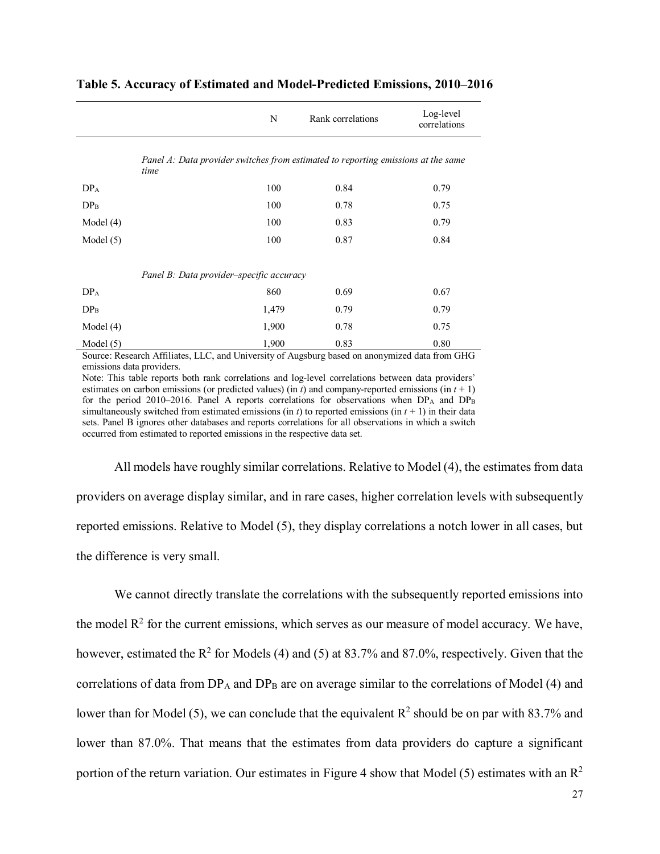|                 |                                                                                           | N     | Rank correlations | Log-level<br>correlations |
|-----------------|-------------------------------------------------------------------------------------------|-------|-------------------|---------------------------|
|                 | Panel A: Data provider switches from estimated to reporting emissions at the same<br>time |       |                   |                           |
| DP <sub>A</sub> |                                                                                           | 100   | 0.84              | 0.79                      |
| DP <sub>B</sub> |                                                                                           | 100   | 0.78              | 0.75                      |
| Model $(4)$     |                                                                                           | 100   | 0.83              | 0.79                      |
| Model $(5)$     |                                                                                           | 100   | 0.87              | 0.84                      |
|                 | Panel B: Data provider-specific accuracy                                                  |       |                   |                           |
| DP <sub>A</sub> |                                                                                           | 860   | 0.69              | 0.67                      |
| DP <sub>B</sub> |                                                                                           | 1,479 | 0.79              | 0.79                      |
| Model $(4)$     |                                                                                           | 1,900 | 0.78              | 0.75                      |
| Model $(5)$     |                                                                                           | 1,900 | 0.83              | 0.80                      |

#### **Table 5. Accuracy of Estimated and Model-Predicted Emissions, 2010–2016**

Source: Research Affiliates, LLC, and University of Augsburg based on anonymized data from GHG emissions data providers.

Note: This table reports both rank correlations and log-level correlations between data providers' estimates on carbon emissions (or predicted values) (in *t*) and company-reported emissions (in *t* + 1) for the period 2010–2016. Panel A reports correlations for observations when  $DP_A$  and  $DP_B$ simultaneously switched from estimated emissions (in  $t$ ) to reported emissions (in  $t + 1$ ) in their data sets. Panel B ignores other databases and reports correlations for all observations in which a switch occurred from estimated to reported emissions in the respective data set.

All models have roughly similar correlations. Relative to Model (4), the estimates from data providers on average display similar, and in rare cases, higher correlation levels with subsequently reported emissions. Relative to Model (5), they display correlations a notch lower in all cases, but the difference is very small.

We cannot directly translate the correlations with the subsequently reported emissions into the model  $R<sup>2</sup>$  for the current emissions, which serves as our measure of model accuracy. We have, however, estimated the  $R^2$  for Models (4) and (5) at 83.7% and 87.0%, respectively. Given that the correlations of data from  $DP_A$  and  $DP_B$  are on average similar to the correlations of Model (4) and lower than for Model (5), we can conclude that the equivalent  $R^2$  should be on par with 83.7% and lower than 87.0%. That means that the estimates from data providers do capture a significant portion of the return variation. Our estimates in Figure 4 show that Model (5) estimates with an  $\mathbb{R}^2$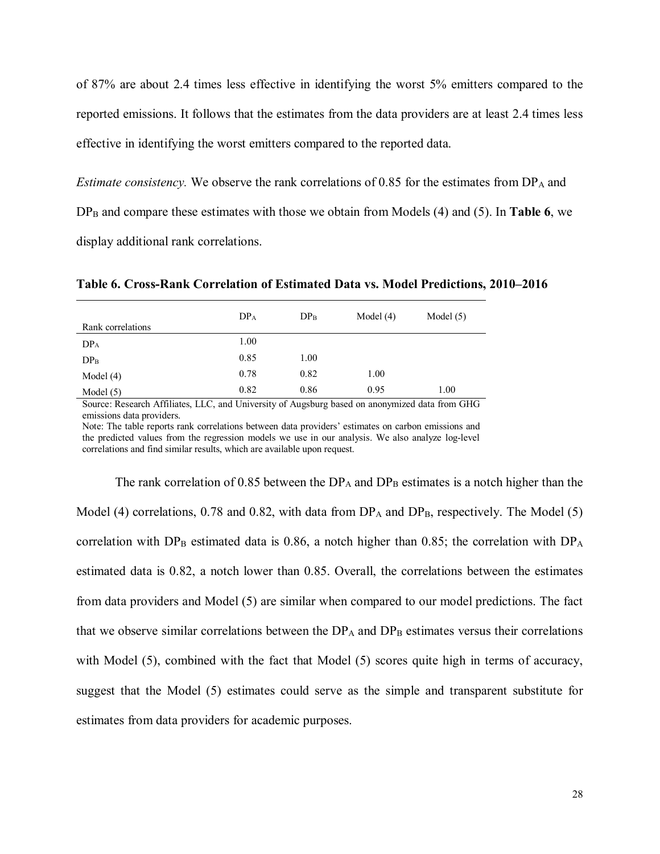of 87% are about 2.4 times less effective in identifying the worst 5% emitters compared to the reported emissions. It follows that the estimates from the data providers are at least 2.4 times less effective in identifying the worst emitters compared to the reported data.

*Estimate consistency.* We observe the rank correlations of 0.85 for the estimates from  $DP_A$  and DP<sub>B</sub> and compare these estimates with those we obtain from Models (4) and (5). In **Table 6**, we display additional rank correlations.

**Table 6. Cross-Rank Correlation of Estimated Data vs. Model Predictions, 2010–2016**

| Rank correlations | DP <sub>A</sub> | DP <sub>B</sub> | Model $(4)$ | Model $(5)$ |
|-------------------|-----------------|-----------------|-------------|-------------|
| DP <sub>A</sub>   | 1.00            |                 |             |             |
| $DP_{B}$          | 0.85            | 1.00            |             |             |
| Model $(4)$       | 0.78            | 0.82            | 1.00        |             |
| Model $(5)$       | 0.82            | 0.86            | 0.95        | 1.00        |

Source: Research Affiliates, LLC, and University of Augsburg based on anonymized data from GHG emissions data providers.

Note: The table reports rank correlations between data providers' estimates on carbon emissions and the predicted values from the regression models we use in our analysis. We also analyze log-level correlations and find similar results, which are available upon request.

The rank correlation of 0.85 between the  $DP_A$  and  $DP_B$  estimates is a notch higher than the Model (4) correlations, 0.78 and 0.82, with data from  $DP_A$  and  $DP_B$ , respectively. The Model (5) correlation with  $DP_B$  estimated data is 0.86, a notch higher than 0.85; the correlation with  $DP_A$ estimated data is 0.82, a notch lower than 0.85. Overall, the correlations between the estimates from data providers and Model (5) are similar when compared to our model predictions. The fact that we observe similar correlations between the  $DP_A$  and  $DP_B$  estimates versus their correlations with Model (5), combined with the fact that Model (5) scores quite high in terms of accuracy, suggest that the Model (5) estimates could serve as the simple and transparent substitute for estimates from data providers for academic purposes.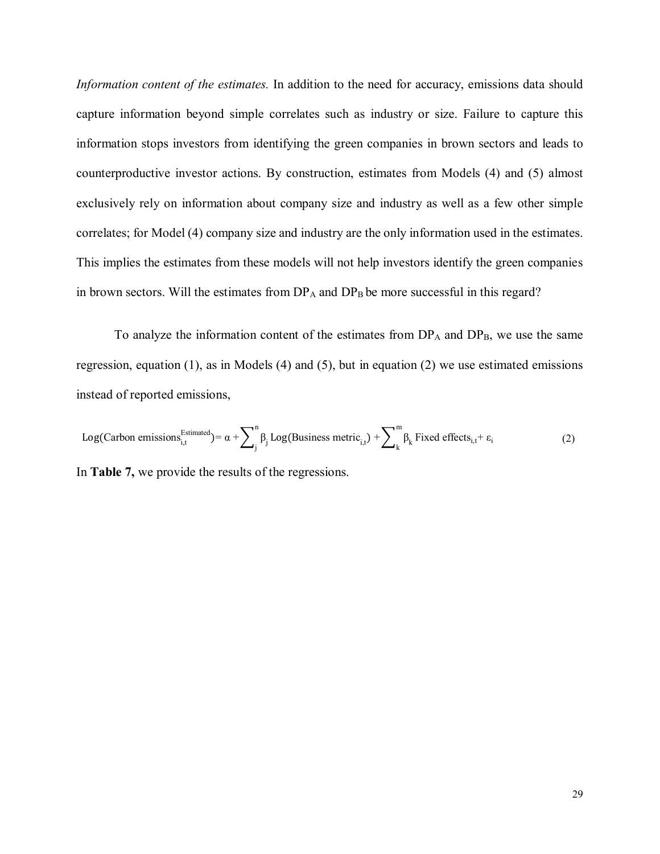*Information content of the estimates.* In addition to the need for accuracy, emissions data should capture information beyond simple correlates such as industry or size. Failure to capture this information stops investors from identifying the green companies in brown sectors and leads to counterproductive investor actions. By construction, estimates from Models (4) and (5) almost exclusively rely on information about company size and industry as well as a few other simple correlates; for Model (4) company size and industry are the only information used in the estimates. This implies the estimates from these models will not help investors identify the green companies in brown sectors. Will the estimates from  $DP_A$  and  $DP_B$  be more successful in this regard?

To analyze the information content of the estimates from  $DP_A$  and  $DP_B$ , we use the same regression, equation (1), as in Models (4) and (5), but in equation (2) we use estimated emissions instead of reported emissions,

Log(Carbon emissions $\sum_{i,t}^{\text{Estimated}}$ )=  $\alpha + \sum_{i}^{n} \beta_{i}$  $\int_{j}^{n} \beta_{j} Log(Business metric_{i,t}) + \sum_{k}^{m} \beta_{k}$  $\beta_k$  Fixed effects<sub>i,t</sub> +  $\varepsilon_i$  (2) In **Table 7,** we provide the results of the regressions.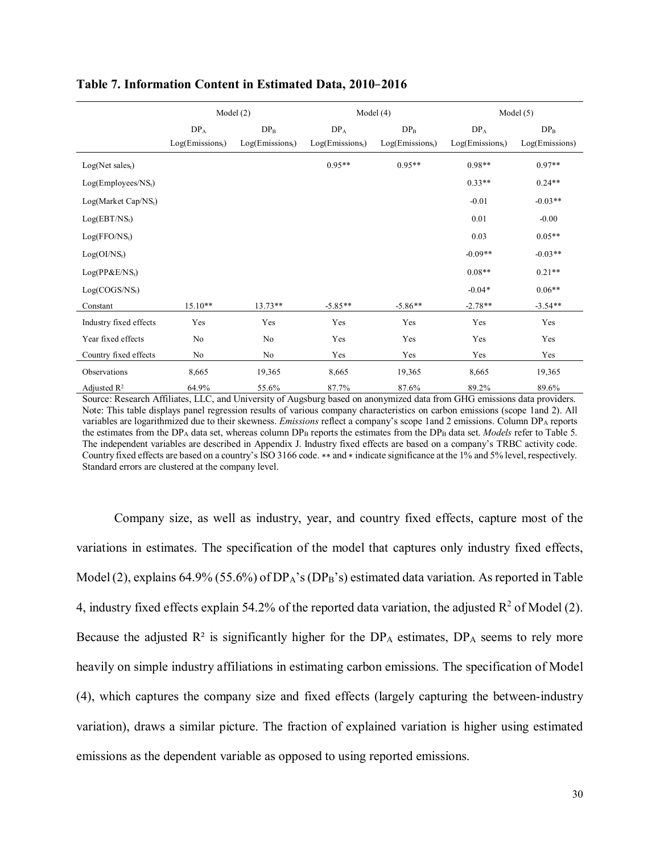|                                  |                    | Model(2)           |                    | Model $(4)$        |                    | Model $(5)$    |  |  |  |
|----------------------------------|--------------------|--------------------|--------------------|--------------------|--------------------|----------------|--|--|--|
|                                  | $DP_A$             | $DP_B$             | $DP_A$             | $DP_B$             | $DP_A$             | $DP_B$         |  |  |  |
|                                  | $Log(Emissions_t)$ | $Log(Emissions_t)$ | $Log(Emissions_t)$ | $Log(Emissions_t)$ | $Log(Emissions_t)$ | Log(Emissions) |  |  |  |
| $Log(Net sales_t)$               |                    |                    | $0.95**$           | $0.95**$           | $0.98**$           | $0.97**$       |  |  |  |
| Log(Employees/NS <sub>t</sub> )  |                    |                    |                    |                    | $0.33**$           | $0.24**$       |  |  |  |
| Log(Marker Cap/NS <sub>t</sub> ) |                    |                    |                    |                    | $-0.01$            | $-0.03**$      |  |  |  |
| $Log(EBT/NS_t)$                  |                    |                    |                    |                    | 0.01               | $-0.00$        |  |  |  |
| Log(FFO/NS <sub>t</sub> )        |                    |                    |                    |                    | 0.03               | $0.05**$       |  |  |  |
| Log(OI/NS <sub>t</sub> )         |                    |                    |                    |                    | $-0.09**$          | $-0.03**$      |  |  |  |
| $Log(PP\&E/NSt)$                 |                    |                    |                    |                    | $0.08**$           | $0.21**$       |  |  |  |
| Log(COGS/NS <sub>t</sub> )       |                    |                    |                    |                    | $-0.04*$           | $0.06**$       |  |  |  |
| Constant                         | $15.10**$          | $13.73**$          | $-5.85**$          | $-5.86**$          | $-2.78**$          | $-3.54**$      |  |  |  |
| Industry fixed effects           | Yes                | Yes                | Yes                | Yes                | Yes                | Yes            |  |  |  |
| Year fixed effects               | No                 | No                 | Yes                | Yes                | Yes                | Yes            |  |  |  |
| Country fixed effects            | No                 | No                 | Yes                | Yes                | Yes                | Yes            |  |  |  |
| Observations                     | 8,665              | 19,365             | 8,665              | 19,365             | 8,665              | 19,365         |  |  |  |
| Adjusted $\mathbb{R}^2$          | 64.9%              | 55.6%              | 87.7%              | 87.6%              | 89.2%              | 89.6%          |  |  |  |

#### **Table 7. Information Content in Estimated Data, 2010**–**2016**

Source: Research Affiliates, LLC, and University of Augsburg based on anonymized data from GHG emissions data providers. Note: This table displays panel regression results of various company characteristics on carbon emissions (scope 1and 2). All variables are logarithmized due to their skewness. *Emissions* reflect a company's scope 1and 2 emissions. Column DPA reports the estimates from the DPA data set, whereas column DPB reports the estimates from the DPB data set. *Models* refer to Table 5. The independent variables are described in Appendix J. Industry fixed effects are based on a company's TRBC activity code. Country fixed effects are based on a country's ISO 3166 code. ∗∗ and ∗ indicate significance at the 1% and 5% level, respectively. Standard errors are clustered at the company level.

Company size, as well as industry, year, and country fixed effects, capture most of the variations in estimates. The specification of the model that captures only industry fixed effects, Model (2), explains 64.9% (55.6%) of  $DP_A$ 's ( $DP_B$ 's) estimated data variation. As reported in Table 4, industry fixed effects explain 54.2% of the reported data variation, the adjusted  $\mathbb{R}^2$  of Model (2). Because the adjusted  $R^2$  is significantly higher for the  $DP_A$  estimates,  $DP_A$  seems to rely more heavily on simple industry affiliations in estimating carbon emissions. The specification of Model (4), which captures the company size and fixed effects (largely capturing the between-industry variation), draws a similar picture. The fraction of explained variation is higher using estimated emissions as the dependent variable as opposed to using reported emissions.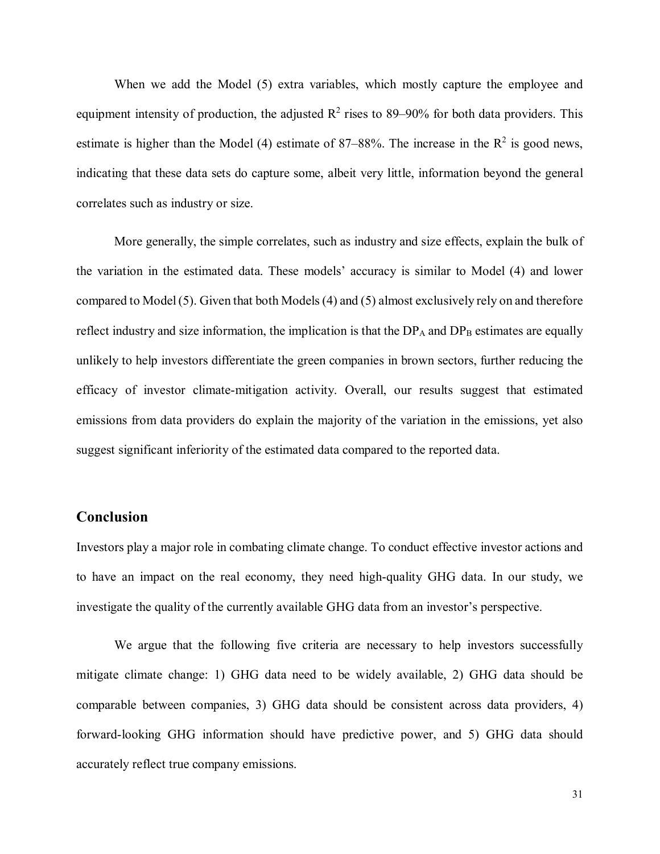When we add the Model (5) extra variables, which mostly capture the employee and equipment intensity of production, the adjusted  $\mathbb{R}^2$  rises to 89–90% for both data providers. This estimate is higher than the Model (4) estimate of 87–88%. The increase in the  $\mathbb{R}^2$  is good news, indicating that these data sets do capture some, albeit very little, information beyond the general correlates such as industry or size.

More generally, the simple correlates, such as industry and size effects, explain the bulk of the variation in the estimated data. These models' accuracy is similar to Model (4) and lower compared to Model (5). Given that both Models (4) and (5) almost exclusively rely on and therefore reflect industry and size information, the implication is that the  $DP_A$  and  $DP_B$  estimates are equally unlikely to help investors differentiate the green companies in brown sectors, further reducing the efficacy of investor climate-mitigation activity. Overall, our results suggest that estimated emissions from data providers do explain the majority of the variation in the emissions, yet also suggest significant inferiority of the estimated data compared to the reported data.

### **Conclusion**

Investors play a major role in combating climate change. To conduct effective investor actions and to have an impact on the real economy, they need high-quality GHG data. In our study, we investigate the quality of the currently available GHG data from an investor's perspective.

We argue that the following five criteria are necessary to help investors successfully mitigate climate change: 1) GHG data need to be widely available, 2) GHG data should be comparable between companies, 3) GHG data should be consistent across data providers, 4) forward-looking GHG information should have predictive power, and 5) GHG data should accurately reflect true company emissions.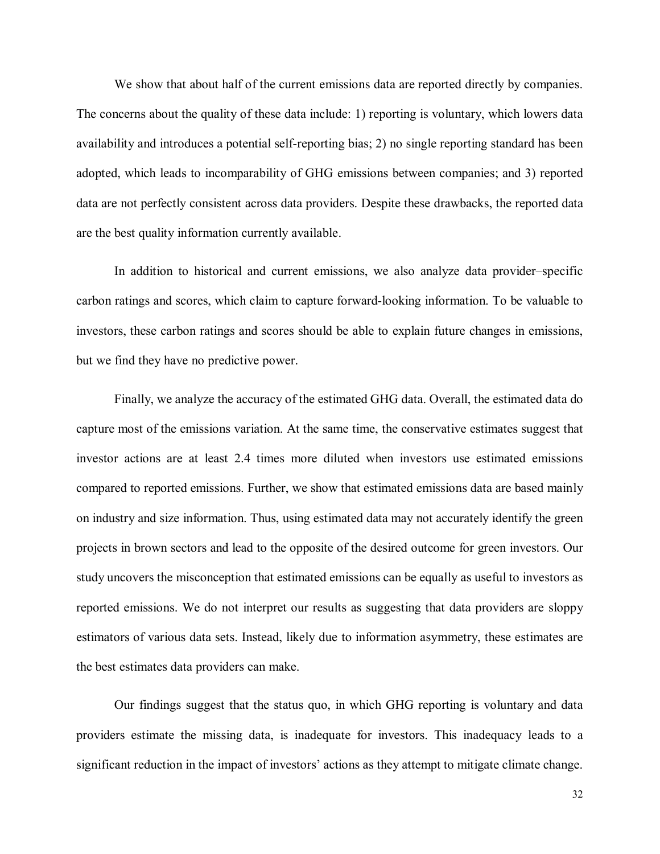We show that about half of the current emissions data are reported directly by companies. The concerns about the quality of these data include: 1) reporting is voluntary, which lowers data availability and introduces a potential self-reporting bias; 2) no single reporting standard has been adopted, which leads to incomparability of GHG emissions between companies; and 3) reported data are not perfectly consistent across data providers. Despite these drawbacks, the reported data are the best quality information currently available.

In addition to historical and current emissions, we also analyze data provider–specific carbon ratings and scores, which claim to capture forward-looking information. To be valuable to investors, these carbon ratings and scores should be able to explain future changes in emissions, but we find they have no predictive power.

Finally, we analyze the accuracy of the estimated GHG data. Overall, the estimated data do capture most of the emissions variation. At the same time, the conservative estimates suggest that investor actions are at least 2.4 times more diluted when investors use estimated emissions compared to reported emissions. Further, we show that estimated emissions data are based mainly on industry and size information. Thus, using estimated data may not accurately identify the green projects in brown sectors and lead to the opposite of the desired outcome for green investors. Our study uncovers the misconception that estimated emissions can be equally as useful to investors as reported emissions. We do not interpret our results as suggesting that data providers are sloppy estimators of various data sets. Instead, likely due to information asymmetry, these estimates are the best estimates data providers can make.

Our findings suggest that the status quo, in which GHG reporting is voluntary and data providers estimate the missing data, is inadequate for investors. This inadequacy leads to a significant reduction in the impact of investors' actions as they attempt to mitigate climate change.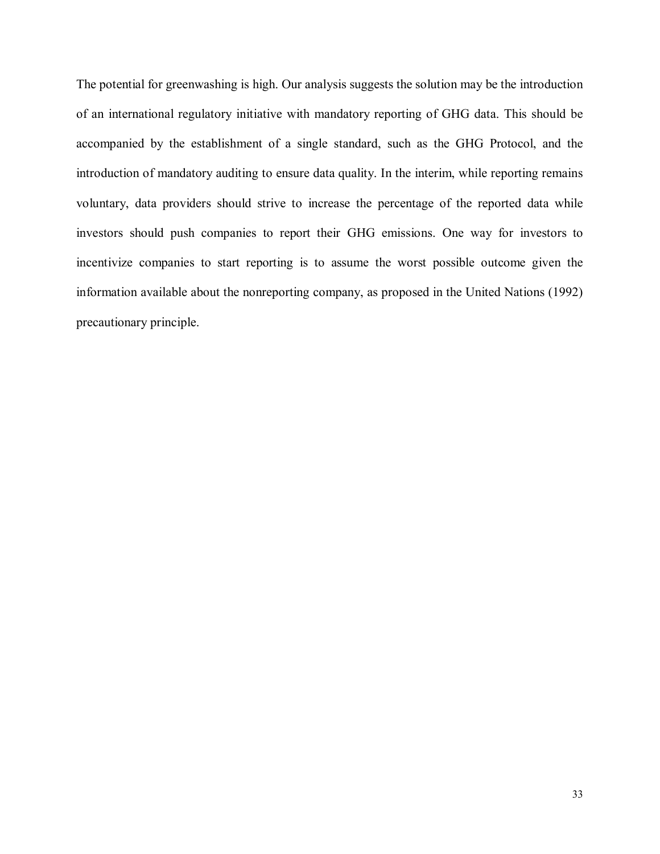The potential for greenwashing is high. Our analysis suggests the solution may be the introduction of an international regulatory initiative with mandatory reporting of GHG data. This should be accompanied by the establishment of a single standard, such as the GHG Protocol, and the introduction of mandatory auditing to ensure data quality. In the interim, while reporting remains voluntary, data providers should strive to increase the percentage of the reported data while investors should push companies to report their GHG emissions. One way for investors to incentivize companies to start reporting is to assume the worst possible outcome given the information available about the nonreporting company, as proposed in the United Nations (1992) precautionary principle.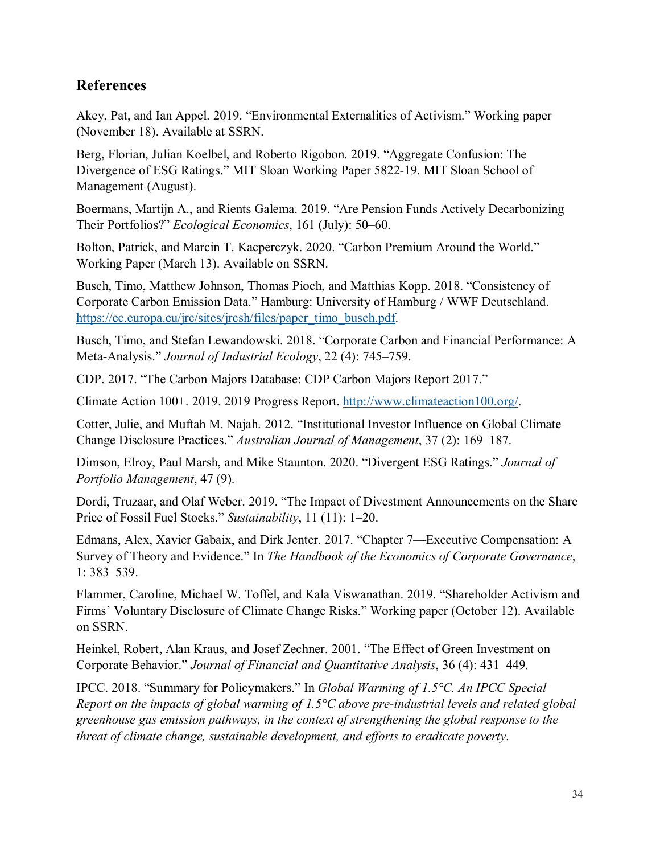### **References**

Akey, Pat, and Ian Appel. 2019. "Environmental Externalities of Activism." Working paper (November 18). Available at SSRN.

Berg, Florian, Julian Koelbel, and Roberto Rigobon. 2019. "Aggregate Confusion: The Divergence of ESG Ratings." MIT Sloan Working Paper 5822-19. MIT Sloan School of Management (August).

Boermans, Martijn A., and Rients Galema. 2019. "Are Pension Funds Actively Decarbonizing Their Portfolios?" *Ecological Economics*, 161 (July): 50–60.

Bolton, Patrick, and Marcin T. Kacperczyk. 2020. "Carbon Premium Around the World." Working Paper (March 13). Available on SSRN.

Busch, Timo, Matthew Johnson, Thomas Pioch, and Matthias Kopp. 2018. "Consistency of Corporate Carbon Emission Data." Hamburg: University of Hamburg / WWF Deutschland. [https://ec.europa.eu/jrc/sites/jrcsh/files/paper\\_timo\\_busch.pdf.](https://ec.europa.eu/jrc/sites/jrcsh/files/paper_timo_busch.pdf)

Busch, Timo, and Stefan Lewandowski. 2018. "Corporate Carbon and Financial Performance: A Meta-Analysis." *Journal of Industrial Ecology*, 22 (4): 745–759.

CDP. 2017. "The Carbon Majors Database: CDP Carbon Majors Report 2017."

Climate Action 100+. 2019. 2019 Progress Report. [http://www.climateaction100.org/.](http://www.climateaction100.org/)

Cotter, Julie, and Muftah M. Najah. 2012. "Institutional Investor Influence on Global Climate Change Disclosure Practices." *Australian Journal of Management*, 37 (2): 169–187.

Dimson, Elroy, Paul Marsh, and Mike Staunton. 2020. "Divergent ESG Ratings." *Journal of Portfolio Management*, 47 (9).

Dordi, Truzaar, and Olaf Weber. 2019. "The Impact of Divestment Announcements on the Share Price of Fossil Fuel Stocks." *Sustainability*, 11 (11): 1–20.

Edmans, Alex, Xavier Gabaix, and Dirk Jenter. 2017. "Chapter 7—Executive Compensation: A Survey of Theory and Evidence." In *The Handbook of the Economics of Corporate Governance*, 1: 383–539.

Flammer, Caroline, Michael W. Toffel, and Kala Viswanathan. 2019. "Shareholder Activism and Firms' Voluntary Disclosure of Climate Change Risks." Working paper (October 12). Available on SSRN.

Heinkel, Robert, Alan Kraus, and Josef Zechner. 2001. "The Effect of Green Investment on Corporate Behavior." *Journal of Financial and Quantitative Analysis*, 36 (4): 431–449.

IPCC. 2018. "Summary for Policymakers." In *Global Warming of 1.5°C. An IPCC Special Report on the impacts of global warming of 1.5°C above pre-industrial levels and related global greenhouse gas emission pathways, in the context of strengthening the global response to the threat of climate change, sustainable development, and efforts to eradicate poverty*.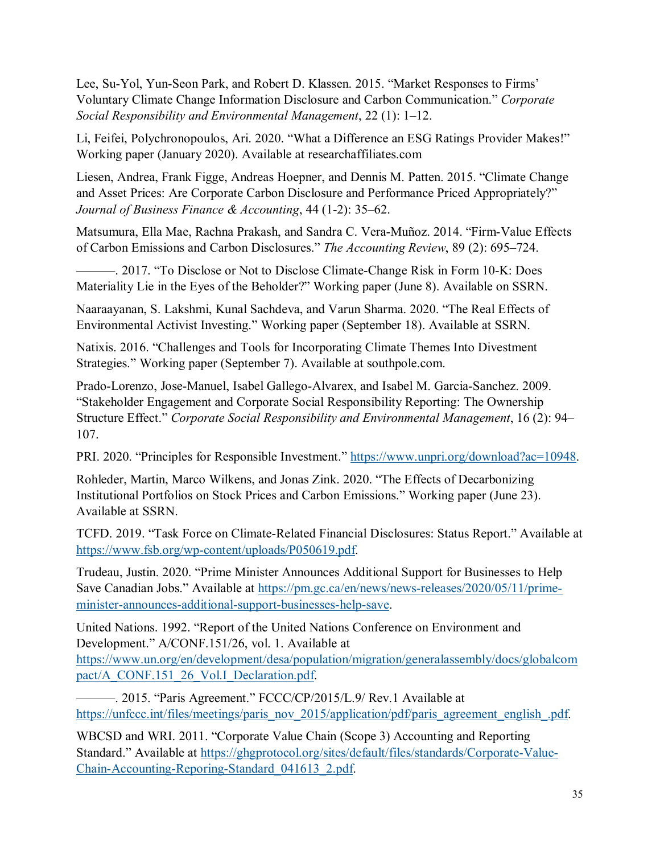Lee, Su-Yol, Yun-Seon Park, and Robert D. Klassen. 2015. "Market Responses to Firms' Voluntary Climate Change Information Disclosure and Carbon Communication." *Corporate Social Responsibility and Environmental Management*, 22 (1): 1–12.

Li, Feifei, Polychronopoulos, Ari. 2020. "What a Difference an ESG Ratings Provider Makes!" Working paper (January 2020). Available at researchaffiliates.com

Liesen, Andrea, Frank Figge, Andreas Hoepner, and Dennis M. Patten. 2015. "Climate Change and Asset Prices: Are Corporate Carbon Disclosure and Performance Priced Appropriately?" *Journal of Business Finance & Accounting*, 44 (1-2): 35–62.

Matsumura, Ella Mae, Rachna Prakash, and Sandra C. Vera-Muñoz. 2014. "Firm-Value Effects of Carbon Emissions and Carbon Disclosures." *The Accounting Review*, 89 (2): 695–724.

———. 2017. "To Disclose or Not to Disclose Climate-Change Risk in Form 10-K: Does Materiality Lie in the Eyes of the Beholder?" Working paper (June 8). Available on SSRN.

Naaraayanan, S. Lakshmi, Kunal Sachdeva, and Varun Sharma. 2020. "The Real Effects of Environmental Activist Investing." Working paper (September 18). Available at SSRN.

Natixis. 2016. "Challenges and Tools for Incorporating Climate Themes Into Divestment Strategies." Working paper (September 7). Available at southpole.com.

Prado‐Lorenzo, Jose-Manuel, Isabel Gallego-Alvarex, and Isabel M. Garcia-Sanchez. 2009. "Stakeholder Engagement and Corporate Social Responsibility Reporting: The Ownership Structure Effect." *Corporate Social Responsibility and Environmental Management*, 16 (2): 94– 107.

PRI. 2020. "Principles for Responsible Investment." [https://www.unpri.org/download?ac=10948.](https://www.unpri.org/download?ac=10948)

Rohleder, Martin, Marco Wilkens, and Jonas Zink. 2020. "The Effects of Decarbonizing Institutional Portfolios on Stock Prices and Carbon Emissions." Working paper (June 23). Available at SSRN.

TCFD. 2019. "Task Force on Climate-Related Financial Disclosures: Status Report." Available at [https://www.fsb.org/wp-content/uploads/P050619.pdf.](https://www.fsb.org/wp-content/uploads/P050619.pdf)

Trudeau, Justin. 2020. "Prime Minister Announces Additional Support for Businesses to Help Save Canadian Jobs." Available at [https://pm.gc.ca/en/news/news-releases/2020/05/11/prime](https://pm.gc.ca/en/news/news-releases/2020/05/11/prime-minister-announces-additional-support-businesses-help-save)[minister-announces-additional-support-businesses-help-save.](https://pm.gc.ca/en/news/news-releases/2020/05/11/prime-minister-announces-additional-support-businesses-help-save)

United Nations. 1992. "Report of the United Nations Conference on Environment and Development." A/CONF.151/26, vol. 1. Available at [https://www.un.org/en/development/desa/population/migration/generalassembly/docs/globalcom](https://www.un.org/en/development/desa/population/migration/generalassembly/docs/globalcompact/A_CONF.151_26_Vol.I_Declaration.pdf) [pact/A\\_CONF.151\\_26\\_Vol.I\\_Declaration.pdf.](https://www.un.org/en/development/desa/population/migration/generalassembly/docs/globalcompact/A_CONF.151_26_Vol.I_Declaration.pdf)

———. 2015. "Paris Agreement." FCCC/CP/2015/L.9/ Rev.1 Available at [https://unfccc.int/files/meetings/paris\\_nov\\_2015/application/pdf/paris\\_agreement\\_english\\_.pdf.](https://unfccc.int/files/meetings/paris_nov_2015/application/pdf/paris_agreement_english_.pdf)

WBCSD and WRI. 2011. "Corporate Value Chain (Scope 3) Accounting and Reporting Standard." Available at [https://ghgprotocol.org/sites/default/files/standards/Corporate-Value-](https://ghgprotocol.org/sites/default/files/standards/Corporate-Value-Chain-Accounting-Reporing-Standard_041613_2.pdf)[Chain-Accounting-Reporing-Standard\\_041613\\_2.pdf.](https://ghgprotocol.org/sites/default/files/standards/Corporate-Value-Chain-Accounting-Reporing-Standard_041613_2.pdf)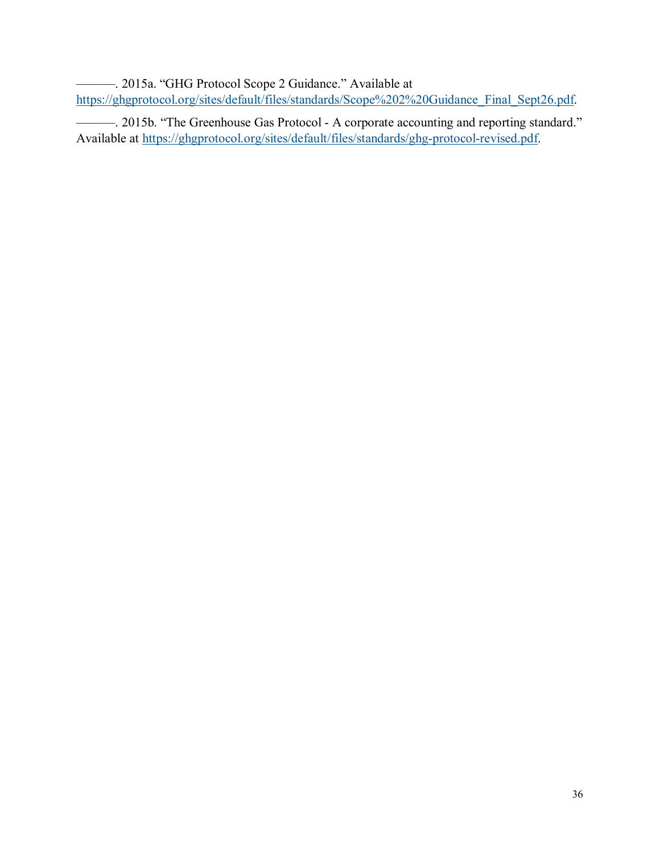———. 2015a. "GHG Protocol Scope 2 Guidance." Available at [https://ghgprotocol.org/sites/default/files/standards/Scope%202%20Guidance\\_Final\\_Sept26.pdf.](https://ghgprotocol.org/sites/default/files/standards/Scope%202%20Guidance_Final_Sept26.pdf)

———. 2015b. "The Greenhouse Gas Protocol - A corporate accounting and reporting standard." Available at [https://ghgprotocol.org/sites/default/files/standards/ghg-protocol-revised.pdf.](https://ghgprotocol.org/sites/default/files/standards/ghg-protocol-revised.pdf)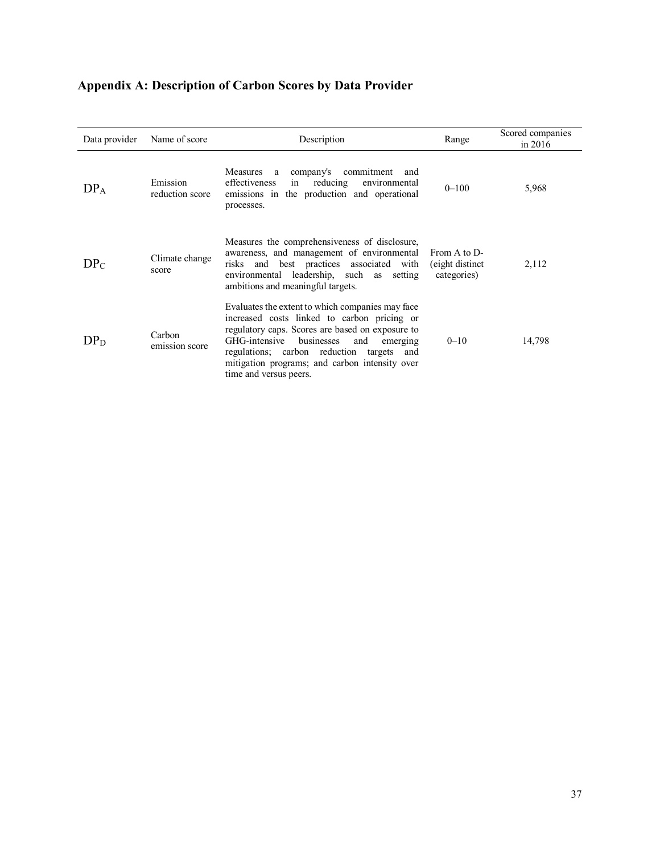| <b>Appendix A: Description of Carbon Scores by Data Provider</b> |  |  |  |
|------------------------------------------------------------------|--|--|--|
|------------------------------------------------------------------|--|--|--|

| Data provider   | Name of score               | Description                                                                                                                                                                                                                                                                                                                    | Range                                           | Scored companies<br>in $2016$ |
|-----------------|-----------------------------|--------------------------------------------------------------------------------------------------------------------------------------------------------------------------------------------------------------------------------------------------------------------------------------------------------------------------------|-------------------------------------------------|-------------------------------|
| DP <sub>A</sub> | Emission<br>reduction score | Measures a company's commitment<br>and<br>effectiveness<br>reducing<br>environmental<br>in<br>emissions in the production and operational<br>processes.                                                                                                                                                                        | $0 - 100$                                       | 5,968                         |
| DP <sub>C</sub> | Climate change<br>score     | Measures the comprehensiveness of disclosure,<br>awareness, and management of environmental<br>risks and best practices associated with<br>environmental leadership, such as setting<br>ambitions and meaningful targets.                                                                                                      | From A to D-<br>(eight distinct)<br>categories) | 2,112                         |
| $DP_D$          | Carbon<br>emission score    | Evaluates the extent to which companies may face<br>increased costs linked to carbon pricing or<br>regulatory caps. Scores are based on exposure to<br>GHG-intensive<br>businesses<br>and<br>emerging<br>regulations; carbon reduction targets and<br>mitigation programs; and carbon intensity over<br>time and versus peers. | $0 - 10$                                        | 14,798                        |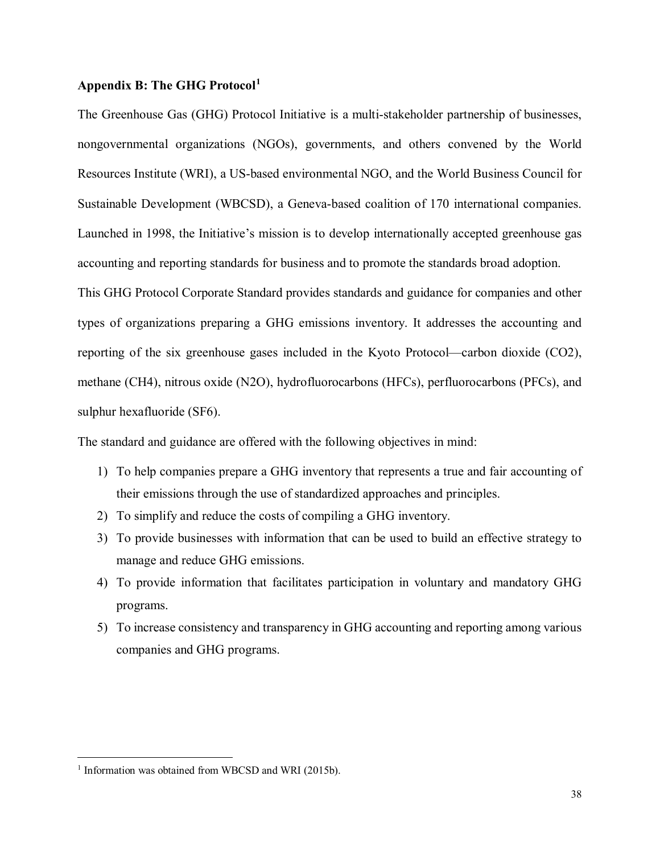#### **Appendix B: The GHG Protocol[1](#page-37-0)**

The Greenhouse Gas (GHG) Protocol Initiative is a multi-stakeholder partnership of businesses, nongovernmental organizations (NGOs), governments, and others convened by the World Resources Institute (WRI), a US-based environmental NGO, and the World Business Council for Sustainable Development (WBCSD), a Geneva-based coalition of 170 international companies. Launched in 1998, the Initiative's mission is to develop internationally accepted greenhouse gas accounting and reporting standards for business and to promote the standards broad adoption.

This GHG Protocol Corporate Standard provides standards and guidance for companies and other types of organizations preparing a GHG emissions inventory. It addresses the accounting and reporting of the six greenhouse gases included in the Kyoto Protocol—carbon dioxide (CO2), methane (CH4), nitrous oxide (N2O), hydrofluorocarbons (HFCs), perfluorocarbons (PFCs), and sulphur hexafluoride (SF6).

The standard and guidance are offered with the following objectives in mind:

- 1) To help companies prepare a GHG inventory that represents a true and fair accounting of their emissions through the use of standardized approaches and principles.
- 2) To simplify and reduce the costs of compiling a GHG inventory.
- 3) To provide businesses with information that can be used to build an effective strategy to manage and reduce GHG emissions.
- 4) To provide information that facilitates participation in voluntary and mandatory GHG programs.
- 5) To increase consistency and transparency in GHG accounting and reporting among various companies and GHG programs.

<span id="page-37-0"></span><sup>&</sup>lt;sup>1</sup> Information was obtained from WBCSD and WRI (2015b).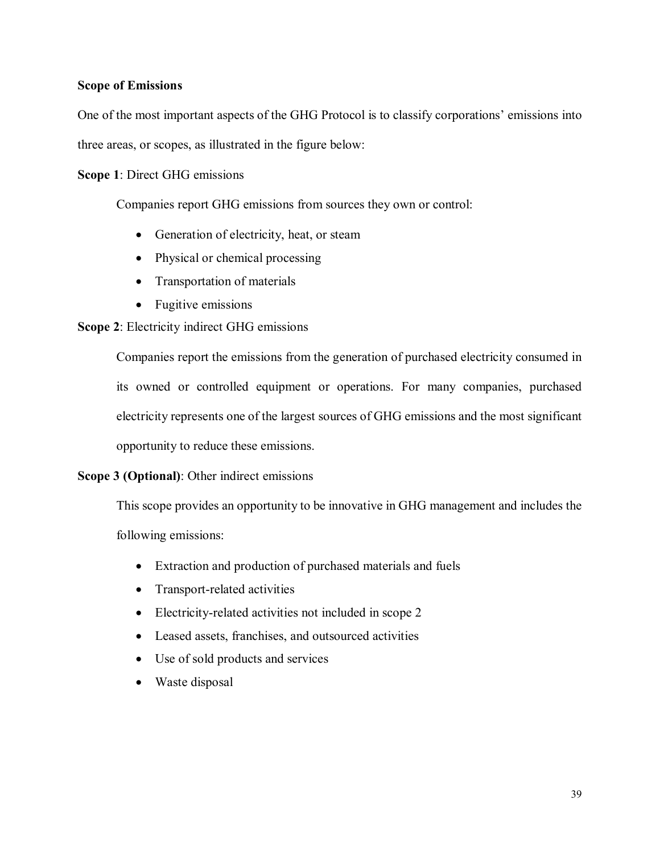### **Scope of Emissions**

One of the most important aspects of the GHG Protocol is to classify corporations' emissions into three areas, or scopes, as illustrated in the figure below:

**Scope 1**: Direct GHG emissions

Companies report GHG emissions from sources they own or control:

- Generation of electricity, heat, or steam
- Physical or chemical processing
- Transportation of materials
- Fugitive emissions

### **Scope 2**: Electricity indirect GHG emissions

Companies report the emissions from the generation of purchased electricity consumed in its owned or controlled equipment or operations. For many companies, purchased electricity represents one of the largest sources of GHG emissions and the most significant opportunity to reduce these emissions.

#### **Scope 3 (Optional)**: Other indirect emissions

This scope provides an opportunity to be innovative in GHG management and includes the following emissions:

- Extraction and production of purchased materials and fuels
- Transport-related activities
- Electricity-related activities not included in scope 2
- Leased assets, franchises, and outsourced activities
- Use of sold products and services
- Waste disposal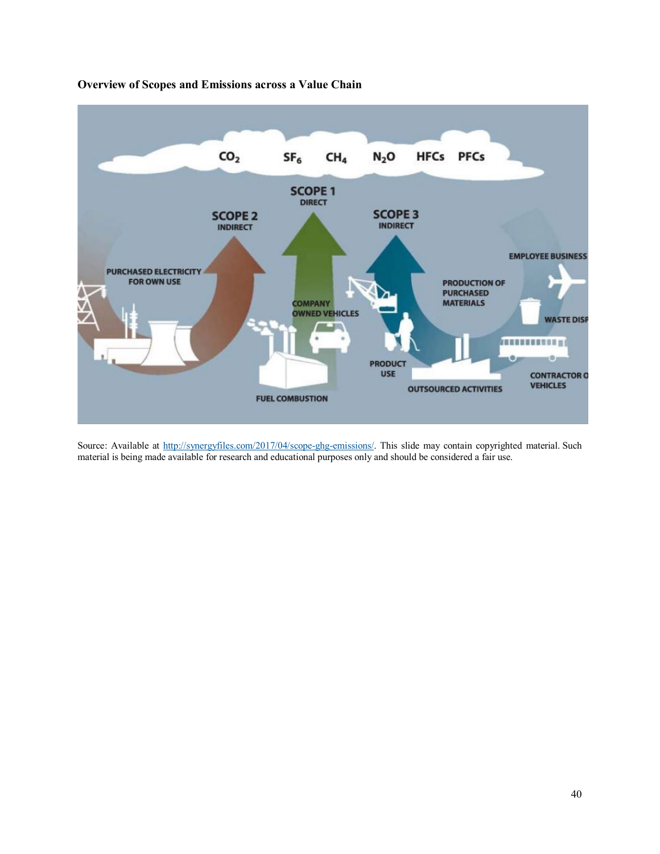

**Overview of Scopes and Emissions across a Value Chain** 

Source: Available at [http://synergyfiles.com/2017/04/scope-ghg-emissions/.](http://synergyfiles.com/2017/04/scope-ghg-emissions/) This slide may contain copyrighted material. Such material is being made available for research and educational purposes only and should be considered a fair use.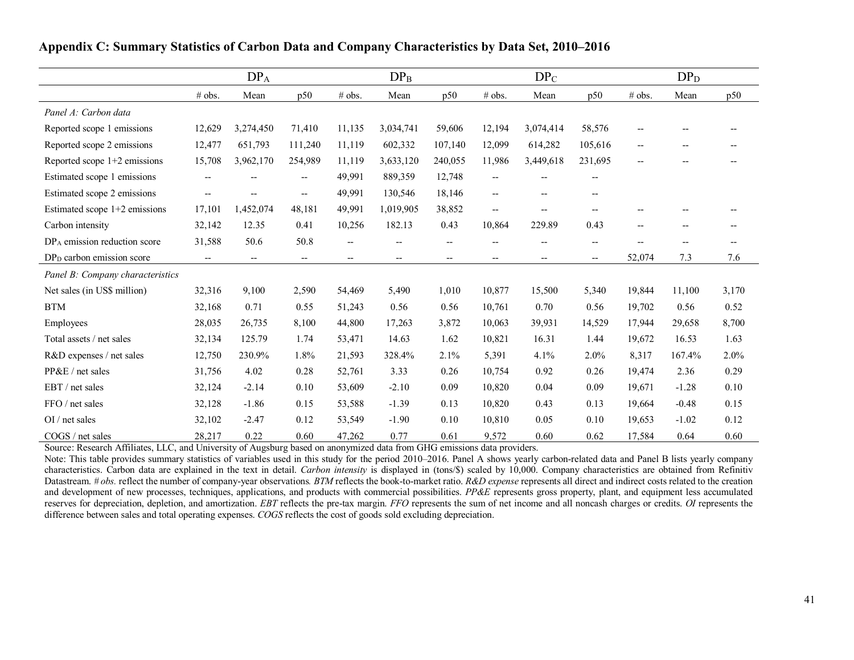|                                          | DP <sub>A</sub>                                     |                          |                          | $DP_B$                   |                                     | $DP_C$                                              |                          |                                       | DP <sub>D</sub>          |                          |         |       |
|------------------------------------------|-----------------------------------------------------|--------------------------|--------------------------|--------------------------|-------------------------------------|-----------------------------------------------------|--------------------------|---------------------------------------|--------------------------|--------------------------|---------|-------|
|                                          | # obs.                                              | Mean                     | p50                      | # obs.                   | Mean                                | p50                                                 | # obs.                   | Mean                                  | p50                      | # obs.                   | Mean    | p50   |
| Panel A: Carbon data                     |                                                     |                          |                          |                          |                                     |                                                     |                          |                                       |                          |                          |         |       |
| Reported scope 1 emissions               | 12,629                                              | 3,274,450                | 71,410                   | 11,135                   | 3,034,741                           | 59,606                                              | 12,194                   | 3,074,414                             | 58,576                   | $- -$                    |         |       |
| Reported scope 2 emissions               | 12,477                                              | 651,793                  | 111,240                  | 11,119                   | 602,332                             | 107,140                                             | 12,099                   | 614,282                               | 105,616                  | $\overline{\phantom{a}}$ | --      |       |
| Reported scope $1+2$ emissions           | 15,708                                              | 3,962,170                | 254,989                  | 11,119                   | 3,633,120                           | 240,055                                             | 11,986                   | 3,449,618                             | 231,695                  | $- -$                    | --      |       |
| Estimated scope 1 emissions              | $\overline{\phantom{a}}$                            |                          | $\overline{\phantom{a}}$ | 49,991                   | 889,359                             | 12,748                                              | $\overline{\phantom{a}}$ | $-$                                   | $\overline{\phantom{a}}$ |                          |         |       |
| Estimated scope 2 emissions              | $\overline{\phantom{a}}$                            | $- -$                    | $\overline{\phantom{a}}$ | 49,991                   | 130,546                             | 18,146                                              | $\overline{\phantom{a}}$ | $\hspace{0.05cm}$ – $\hspace{0.05cm}$ | $\hspace{0.05cm} \ldots$ |                          |         |       |
| Estimated scope 1+2 emissions            | 17,101                                              | 1,452,074                | 48,181                   | 49,991                   | 1,019,905                           | 38,852                                              | $\overline{\phantom{0}}$ | $\overline{\phantom{a}}$              | $--$                     | $-$                      |         |       |
| Carbon intensity                         | 32,142                                              | 12.35                    | 0.41                     | 10,256                   | 182.13                              | 0.43                                                | 10,864                   | 229.89                                | 0.43                     | $\overline{\phantom{a}}$ | --      | --    |
| DP <sub>A</sub> emission reduction score | 31,588                                              | 50.6                     | 50.8                     |                          |                                     | --                                                  |                          |                                       | $\overline{\phantom{a}}$ |                          | --      | --    |
| DP <sub>D</sub> carbon emission score    | $\hspace{0.05cm} -\hspace{0.05cm} -\hspace{0.05cm}$ | $\hspace{0.05cm} \dashv$ | $\hspace{0.05cm} \dashv$ | $\hspace{0.05cm} \bar{}$ | $\hspace{0.05cm}$ $\hspace{0.05cm}$ | $\hspace{0.05cm} -\hspace{0.05cm} -\hspace{0.05cm}$ | --                       | $\hspace{0.05cm}$ – $\hspace{0.05cm}$ | $\hspace{0.05cm} \dashv$ | 52,074                   | 7.3     | 7.6   |
| Panel B: Company characteristics         |                                                     |                          |                          |                          |                                     |                                                     |                          |                                       |                          |                          |         |       |
| Net sales (in US\$ million)              | 32,316                                              | 9,100                    | 2,590                    | 54,469                   | 5,490                               | 1,010                                               | 10,877                   | 15,500                                | 5,340                    | 19,844                   | 11,100  | 3,170 |
| <b>BTM</b>                               | 32,168                                              | 0.71                     | 0.55                     | 51,243                   | 0.56                                | 0.56                                                | 10,761                   | 0.70                                  | 0.56                     | 19,702                   | 0.56    | 0.52  |
| Employees                                | 28,035                                              | 26,735                   | 8,100                    | 44,800                   | 17,263                              | 3,872                                               | 10,063                   | 39,931                                | 14,529                   | 17,944                   | 29,658  | 8,700 |
| Total assets / net sales                 | 32,134                                              | 125.79                   | 1.74                     | 53,471                   | 14.63                               | 1.62                                                | 10,821                   | 16.31                                 | 1.44                     | 19,672                   | 16.53   | 1.63  |
| R&D expenses / net sales                 | 12,750                                              | 230.9%                   | 1.8%                     | 21,593                   | 328.4%                              | 2.1%                                                | 5,391                    | 4.1%                                  | 2.0%                     | 8,317                    | 167.4%  | 2.0%  |
| PP&E / net sales                         | 31,756                                              | 4.02                     | 0.28                     | 52,761                   | 3.33                                | 0.26                                                | 10,754                   | 0.92                                  | 0.26                     | 19,474                   | 2.36    | 0.29  |
| EBT / net sales                          | 32,124                                              | $-2.14$                  | 0.10                     | 53,609                   | $-2.10$                             | 0.09                                                | 10,820                   | 0.04                                  | 0.09                     | 19,671                   | $-1.28$ | 0.10  |
| FFO / net sales                          | 32,128                                              | $-1.86$                  | 0.15                     | 53,588                   | $-1.39$                             | 0.13                                                | 10,820                   | 0.43                                  | 0.13                     | 19,664                   | $-0.48$ | 0.15  |
| $OI$ / net sales                         | 32,102                                              | $-2.47$                  | 0.12                     | 53,549                   | $-1.90$                             | 0.10                                                | 10,810                   | 0.05                                  | 0.10                     | 19,653                   | $-1.02$ | 0.12  |
| COGS / net sales                         | 28,217                                              | 0.22                     | 0.60                     | 47,262                   | 0.77                                | 0.61                                                | 9,572                    | 0.60                                  | 0.62                     | 17,584                   | 0.64    | 0.60  |

#### **Appendix C: Summary Statistics of Carbon Data and Company Characteristics by Data Set, 2010–2016**

Source: Research Affiliates, LLC, and University of Augsburg based on anonymized data from GHG emissions data providers.

Note: This table provides summary statistics of variables used in this study for the period 2010–2016. Panel A shows yearly carbon-related data and Panel B lists yearly company characteristics. Carbon data are explained in the text in detail. *Carbon intensity* is displayed in (tons/\$) scaled by 10,000. Company characteristics are obtained from Refinitiv Datastream. # obs. reflect the number of company-year observations. *BTM* reflects the book-to-market ratio. *R&D expense* represents all direct and indirect costs related to the creation and development of new processes, techniques, applications, and products with commercial possibilities. *PP&E* represents gross property, plant, and equipment less accumulated reserves for depreciation, depletion, and amortization. *EBT* reflects the pre-tax margin. *FFO* represents the sum of net income and all noncash charges or credits. *OI* represents the difference between sales and total operating expenses. *COGS* reflects the cost of goods sold excluding depreciation.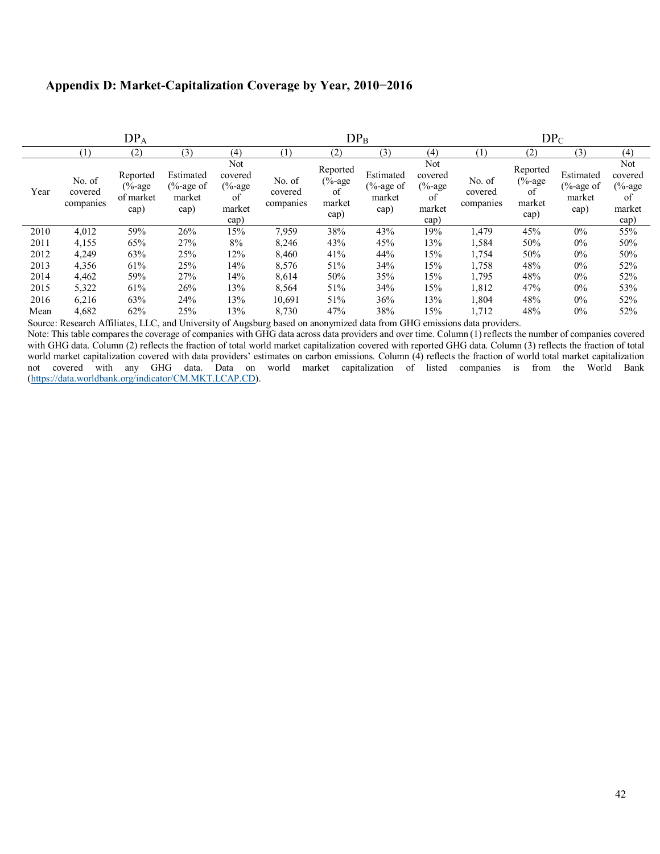#### **Appendix D: Market-Capitalization Coverage by Year, 2010−2016**

| DP <sub>A</sub> |                                |                                             |                                            |                                                      | $DP_B$                         |                                                |                                            |                                                      | $DP_C$                         |                                              |                                            |                                                      |
|-----------------|--------------------------------|---------------------------------------------|--------------------------------------------|------------------------------------------------------|--------------------------------|------------------------------------------------|--------------------------------------------|------------------------------------------------------|--------------------------------|----------------------------------------------|--------------------------------------------|------------------------------------------------------|
|                 | (1)                            | (2)                                         | (3)                                        | (4)                                                  | (1)                            | (2)                                            | (3)                                        | (4)                                                  | (1)                            | (2)                                          | (3)                                        | (4)                                                  |
| Year            | No. of<br>covered<br>companies | Reported<br>$(\%$ -age<br>of market<br>cap) | Estimated<br>$% -age of$<br>market<br>cap) | Not<br>covered<br>$(\%$ -age<br>of<br>market<br>cap) | No. of<br>covered<br>companies | Reported<br>$(\%$ -age<br>of<br>market<br>cap) | Estimated<br>$% -age$ of<br>market<br>cap) | Not<br>covered<br>$(\%$ -age<br>of<br>market<br>cap) | No. of<br>covered<br>companies | Reported<br>$% -age$<br>of<br>market<br>cap) | Estimated<br>$% -age of$<br>market<br>cap) | Not<br>covered<br>$(\%$ -age<br>of<br>market<br>cap) |
| 2010            | 4,012                          | 59%                                         | 26%                                        | 15%                                                  | 7,959                          | 38%                                            | 43%                                        | 19%                                                  | 1,479                          | 45%                                          | $0\%$                                      | 55%                                                  |
| 2011            | 4,155                          | 65%                                         | 27%                                        | 8%                                                   | 8,246                          | 43%                                            | 45%                                        | 13%                                                  | 1,584                          | 50%                                          | $0\%$                                      | 50%                                                  |
| 2012            | 4,249                          | 63%                                         | 25%                                        | 12%                                                  | 8,460                          | 41%                                            | 44%                                        | 15%                                                  | 1,754                          | 50%                                          | $0\%$                                      | 50%                                                  |
| 2013            | 4,356                          | 61%                                         | 25%                                        | 14%                                                  | 8,576                          | 51%                                            | 34%                                        | 15%                                                  | 1,758                          | 48%                                          | $0\%$                                      | 52%                                                  |
| 2014            | 4,462                          | 59%                                         | 27%                                        | 14%                                                  | 8,614                          | 50%                                            | 35%                                        | 15%                                                  | 1,795                          | 48%                                          | $0\%$                                      | 52%                                                  |
| 2015            | 5,322                          | 61%                                         | 26%                                        | 13%                                                  | 8,564                          | 51%                                            | 34%                                        | 15%                                                  | 1,812                          | 47%                                          | $0\%$                                      | 53%                                                  |
| 2016            | 6,216                          | 63%                                         | 24%                                        | 13%                                                  | 10,691                         | 51%                                            | 36%                                        | 13%                                                  | 1,804                          | 48%                                          | $0\%$                                      | 52%                                                  |
| Mean            | 4,682                          | 62%                                         | 25%                                        | 13%                                                  | 8,730                          | 47%                                            | 38%                                        | 15%                                                  | 1,712                          | 48%                                          | $0\%$                                      | 52%                                                  |

Source: Research Affiliates, LLC, and University of Augsburg based on anonymized data from GHG emissions data providers.

Note: This table compares the coverage of companies with GHG data across data providers and over time. Column (1) reflects the number of companies covered with GHG data. Column (2) reflects the fraction of total world market capitalization covered with reported GHG data. Column (3) reflects the fraction of total world market capitalization covered with data providers' estimates on carbon emissions. Column (4) reflects the fraction of world total market capitalization not covered with any GHG data. Data on world market capitalization of listed companies is from the World Bank [\(https://data.worldbank.org/indicator/CM.MKT.LCAP.CD\)](https://data.worldbank.org/indicator/CM.MKT.LCAP.CD).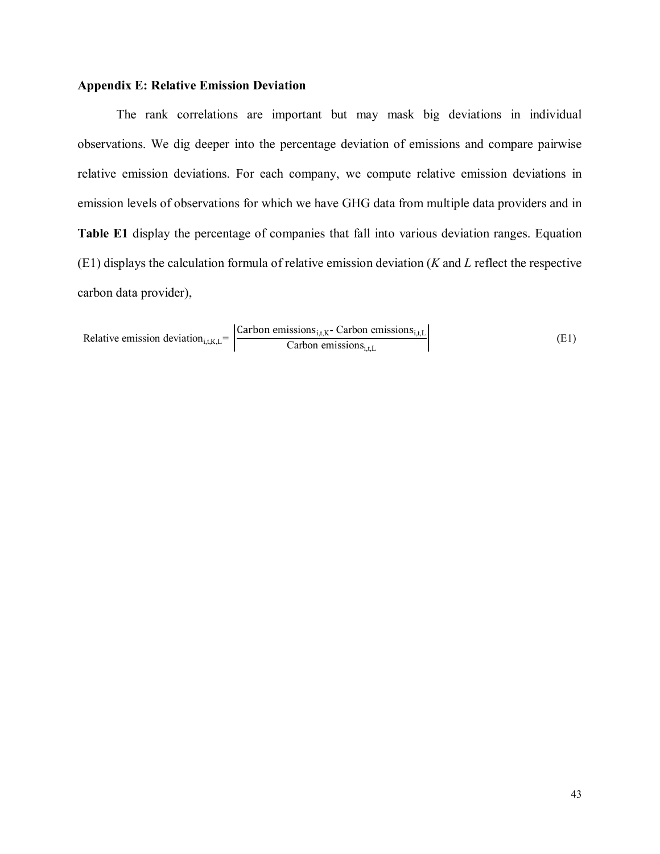#### **Appendix E: Relative Emission Deviation**

The rank correlations are important but may mask big deviations in individual observations. We dig deeper into the percentage deviation of emissions and compare pairwise relative emission deviations. For each company, we compute relative emission deviations in emission levels of observations for which we have GHG data from multiple data providers and in **Table E1** display the percentage of companies that fall into various deviation ranges. Equation (E1) displays the calculation formula of relative emission deviation (*K* and *L* reflect the respective carbon data provider),

Relative emission deviation<sub>i,t,K,L</sub> = 
$$
\left| \frac{\text{Carbon emissions}_{i,t,K} - \text{Carbon emissions}_{i,t,L}}{\text{Carbon emissions}_{i,t,L}} \right|
$$
 (E1)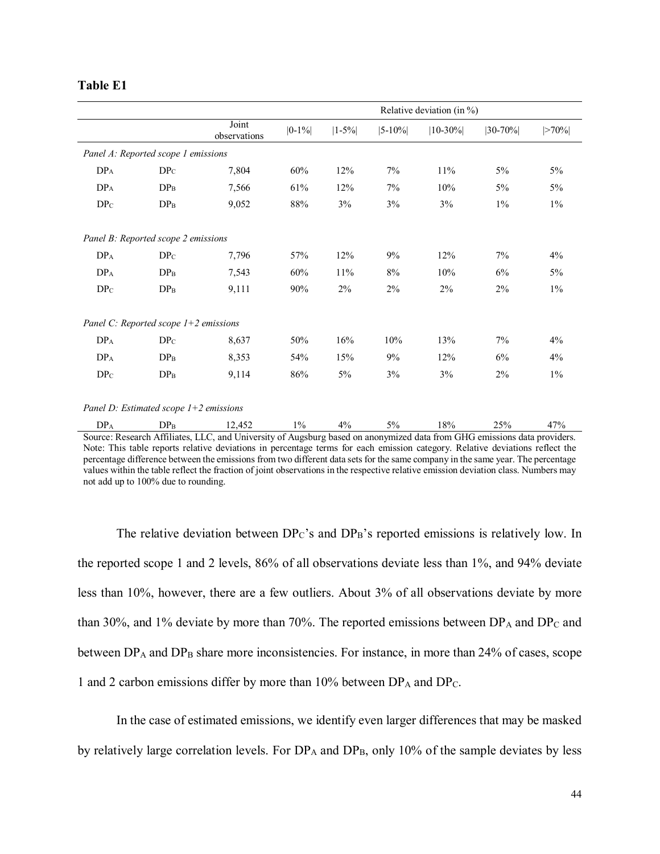#### **Table E1**

|                                         |                                          |                                                                                                      | Relative deviation (in $\%$ ) |                 |              |                                              |                                |              |
|-----------------------------------------|------------------------------------------|------------------------------------------------------------------------------------------------------|-------------------------------|-----------------|--------------|----------------------------------------------|--------------------------------|--------------|
|                                         |                                          | Joint<br>observations                                                                                | $ 0-1\% $                     | $ 1 - 5\% $     | $ 5 - 10\% $ | $ 10-30\% $                                  | $ 30-70% $                     | >70%         |
|                                         | Panel A: Reported scope 1 emissions      |                                                                                                      |                               |                 |              |                                              |                                |              |
| DP <sub>A</sub>                         | $DP_C$                                   | 7,804                                                                                                | 60%                           | 12%             | 7%           | 11%                                          | $5\%$                          | $5\%$        |
| $DP_{\rm A}$                            | DP <sub>B</sub>                          | 7,566                                                                                                | 61%                           | 12%             | 7%           | $10\%$                                       | $5\%$                          | $5\%$        |
| $DP_C$                                  | $DP_B$                                   | 9,052                                                                                                | 88%                           | 3%              | 3%           | 3%                                           | $1\%$                          | $1\%$        |
|                                         | Panel B: Reported scope 2 emissions      |                                                                                                      |                               |                 |              |                                              |                                |              |
| $DP_A$                                  | $DP_C$                                   | 7,796                                                                                                | 57%                           | 12%             | 9%           | 12%                                          | 7%                             | 4%           |
| $DP_{\rm A}$                            | $DP_{\rm B}$                             | 7,543                                                                                                | 60%                           | 11%             | 8%           | 10%                                          | 6%                             | $5\%$        |
| DP <sub>C</sub>                         | $DP_{\rm B}$                             | 9,111                                                                                                | 90%                           | $2\%$           | 2%           | 2%                                           | 2%                             | $1\%$        |
| Panel C: Reported scope $1+2$ emissions |                                          |                                                                                                      |                               |                 |              |                                              |                                |              |
| $DP_A$                                  | $DP_C$                                   | 8,637                                                                                                | 50%                           | 16%             | 10%          | 13%                                          | 7%                             | 4%           |
| $DP_{\rm A}$                            | DP <sub>B</sub>                          | 8,353                                                                                                | 54%                           | 15%             | 9%           | 12%                                          | 6%                             | 4%           |
| DP <sub>C</sub>                         | DP <sub>B</sub>                          | 9,114                                                                                                | 86%                           | $5\%$           | 3%           | 3%                                           | 2%                             | $1\%$        |
|                                         | Panel D: Estimated scope $1+2$ emissions |                                                                                                      |                               |                 |              |                                              |                                |              |
| DP <sub>A</sub>                         | DP <sub>B</sub>                          | 12,452<br>$C$ suppose $D$ seconds $\triangle CC$ $C$ and $D$ and $D$ and $D$ and $D$ and $D$ and $D$ | $1\%$                         | $4\%$<br>. 1. 4 | $5\%$        | $18\%$<br>$1 - 1$ $1 - 1 - 1$<br>$\sim$ CILC | 25%<br>المفتاف المستملة والمنا | 47%<br>.: 1. |

Source: Research Affiliates, LLC, and University of Augsburg based on anonymized data from GHG emissions data providers. Note: This table reports relative deviations in percentage terms for each emission category. Relative deviations reflect the percentage difference between the emissions from two different data sets for the same company in the same year. The percentage values within the table reflect the fraction of joint observations in the respective relative emission deviation class. Numbers may not add up to 100% due to rounding.

The relative deviation between  $DP_C$ 's and  $DP_B$ 's reported emissions is relatively low. In the reported scope 1 and 2 levels, 86% of all observations deviate less than 1%, and 94% deviate less than 10%, however, there are a few outliers. About 3% of all observations deviate by more than 30%, and 1% deviate by more than 70%. The reported emissions between  $DP_A$  and  $DP_C$  and between  $DP_A$  and  $DP_B$  share more inconsistencies. For instance, in more than 24% of cases, scope 1 and 2 carbon emissions differ by more than  $10\%$  between  $DP_A$  and  $DP_C$ .

In the case of estimated emissions, we identify even larger differences that may be masked by relatively large correlation levels. For  $DP_A$  and  $DP_B$ , only 10% of the sample deviates by less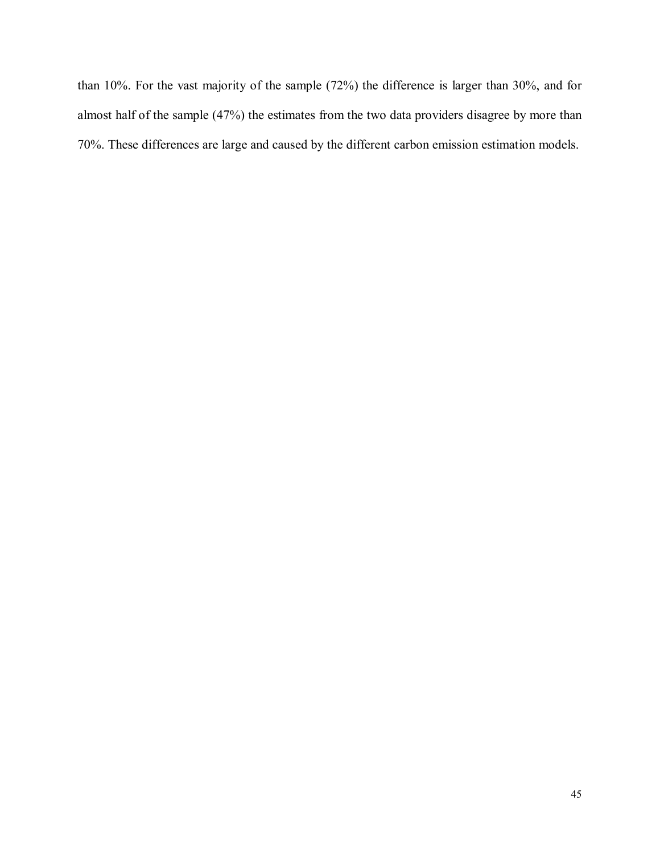than 10%. For the vast majority of the sample (72%) the difference is larger than 30%, and for almost half of the sample (47%) the estimates from the two data providers disagree by more than 70%. These differences are large and caused by the different carbon emission estimation models.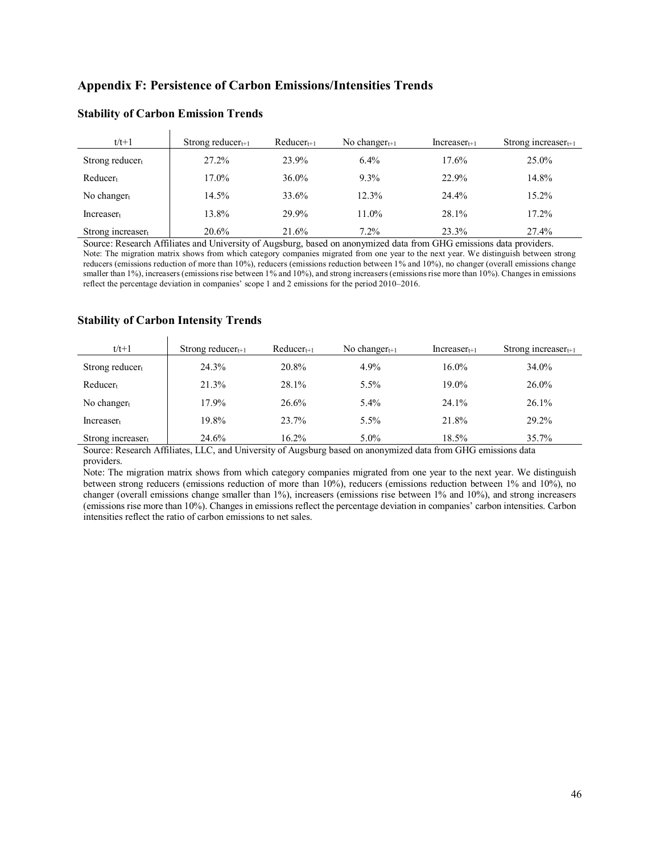#### **Appendix F: Persistence of Carbon Emissions/Intensities Trends**

| $t/t+1$               | Strong reducer $t+1$ | $Reducer_{t+1}$ | No changer $t+1$ | $Increaser_{t+1}$ | Strong increaser $t+1$ |
|-----------------------|----------------------|-----------------|------------------|-------------------|------------------------|
| Strong reducert       | 27.2%                | 23.9%           | $6.4\%$          | 17.6%             | 25.0%                  |
| $Reduce_{t}$          | 17.0%                | $36.0\%$        | 9.3%             | 22.9%             | 14.8%                  |
| No changer            | 14.5%                | 33.6%           | 12.3%            | 24.4%             | $15.2\%$               |
| Increase <sub>t</sub> | 13.8%                | 29.9%           | 11.0%            | 28.1%             | 17.2%                  |
| Strong increaser      | 20.6%                | 21.6%           | $7.2\%$          | 23.3%             | 27.4%                  |

#### **Stability of Carbon Emission Trends**

Source: Research Affiliates and University of Augsburg, based on anonymized data from GHG emissions data providers. Note: The migration matrix shows from which category companies migrated from one year to the next year. We distinguish between strong reducers (emissions reduction of more than 10%), reducers (emissions reduction between 1% and 10%), no changer (overall emissions change smaller than 1%), increasers (emissions rise between 1% and 10%), and strong increasers (emissions rise more than 10%). Changes in emissions reflect the percentage deviation in companies' scope 1 and 2 emissions for the period 2010–2016.

#### **Stability of Carbon Intensity Trends**  $\mathbf{r}$

| $t/t+1$            | Strong reducer $t+1$ | $Reducer_{t+1}$ | No changer $t+1$ | $Increaser_{t+1}$ | Strong increaser $t_{t+1}$ |
|--------------------|----------------------|-----------------|------------------|-------------------|----------------------------|
| Strong reducer $t$ | 24.3%                | 20.8%           | 4.9%             | 16.0%             | 34.0%                      |
| $Reducer_t$        | 21.3%                | 28.1%           | $5.5\%$          | 19.0%             | 26.0%                      |
| No changer         | 17.9%                | 26.6%           | $5.4\%$          | 24.1%             | $26.1\%$                   |
| $Increaser_t$      | 19.8%                | 23.7%           | $5.5\%$          | 21.8%             | 29.2%                      |
| Strong increaser   | 24.6%                | 16.2%           | $5.0\%$          | 18.5%             | 35.7%                      |

Source: Research Affiliates, LLC, and University of Augsburg based on anonymized data from GHG emissions data providers.

Note: The migration matrix shows from which category companies migrated from one year to the next year. We distinguish between strong reducers (emissions reduction of more than 10%), reducers (emissions reduction between 1% and 10%), no changer (overall emissions change smaller than 1%), increasers (emissions rise between 1% and 10%), and strong increasers (emissions rise more than 10%). Changes in emissions reflect the percentage deviation in companies' carbon intensities. Carbon intensities reflect the ratio of carbon emissions to net sales.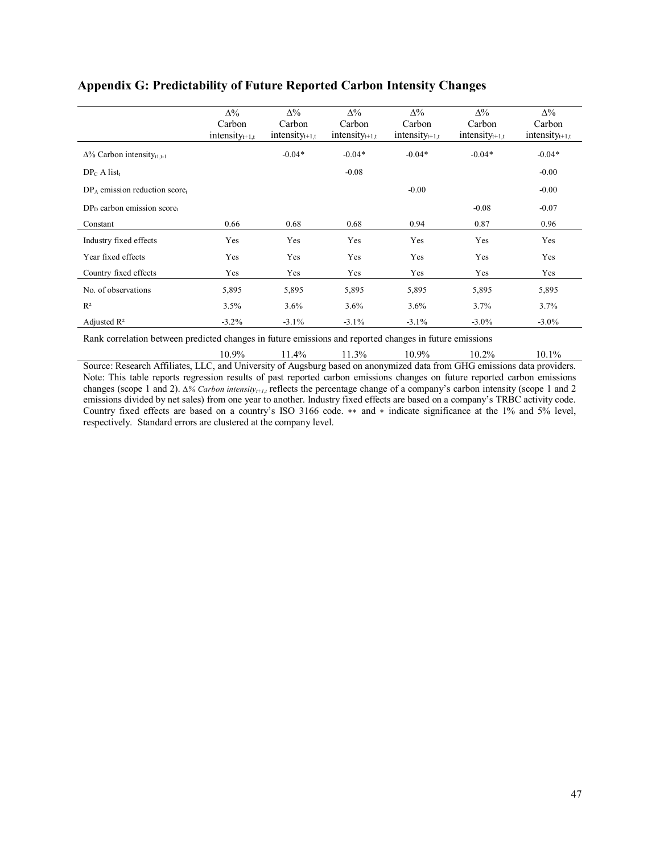|                                                                                                         | $\Delta\%$<br>Carbon<br>intensity $t_{t+1,t}$ | $\Delta\%$<br>Carbon<br>intensity $t+1,t$ | $\Delta\%$<br>Carbon<br>intensity $t+1,t$ | $\Delta\%$<br>Carbon<br>intensity $t+1,t$ | $\Delta\%$<br>Carbon<br>intensity $t+1,t$ | $\Delta\%$<br>Carbon<br>intensity $t+1,t$ |
|---------------------------------------------------------------------------------------------------------|-----------------------------------------------|-------------------------------------------|-------------------------------------------|-------------------------------------------|-------------------------------------------|-------------------------------------------|
| $\Delta\%$ Carbon intensity <sub>tl.t-1</sub>                                                           |                                               | $-0.04*$                                  | $-0.04*$                                  | $-0.04*$                                  | $-0.04*$                                  | $-0.04*$                                  |
| $DP_C A list_t$                                                                                         |                                               |                                           | $-0.08$                                   |                                           |                                           | $-0.00$                                   |
| $DP_A$ emission reduction score.                                                                        |                                               |                                           |                                           | $-0.00$                                   |                                           | $-0.00$                                   |
| $DPD$ carbon emission score,                                                                            |                                               |                                           |                                           |                                           | $-0.08$                                   | $-0.07$                                   |
| Constant                                                                                                | 0.66                                          | 0.68                                      | 0.68                                      | 0.94                                      | 0.87                                      | 0.96                                      |
| Industry fixed effects                                                                                  | Yes                                           | Yes                                       | Yes                                       | Yes                                       | Yes                                       | Yes                                       |
| Year fixed effects                                                                                      | Yes                                           | Yes                                       | Yes                                       | Yes                                       | Yes                                       | Yes                                       |
| Country fixed effects                                                                                   | Yes                                           | Yes                                       | Yes                                       | Yes                                       | Yes                                       | Yes                                       |
| No. of observations                                                                                     | 5,895                                         | 5,895                                     | 5,895                                     | 5,895                                     | 5,895                                     | 5,895                                     |
| $R^2$                                                                                                   | 3.5%                                          | $3.6\%$                                   | 3.6%                                      | 3.6%                                      | 3.7%                                      | 3.7%                                      |
| Adjusted $\mathbb{R}^2$                                                                                 | $-3.2\%$                                      | $-3.1\%$                                  | $-3.1\%$                                  | $-3.1\%$                                  | $-3.0\%$                                  | $-3.0\%$                                  |
| Rank correlation between predicted changes in future emissions and reported changes in future emissions |                                               |                                           |                                           |                                           |                                           |                                           |

### **Appendix G: Predictability of Future Reported Carbon Intensity Changes**

10.9% 11.4% 11.3% 10.9% 10.2% 10.1% Source: Research Affiliates, LLC, and University of Augsburg based on anonymized data from GHG emissions data providers. Note: This table reports regression results of past reported carbon emissions changes on future reported carbon emissions changes (scope 1 and 2). *∆% Carbon intensity<sub>t+1,t</sub>* reflects the percentage change of a company's carbon intensity (scope 1 and 2 emissions divided by net sales) from one year to another. Industry fixed effects are based on a company's TRBC activity code. Country fixed effects are based on a country's ISO 3166 code. ∗∗ and ∗ indicate significance at the 1% and 5% level, respectively. Standard errors are clustered at the company level.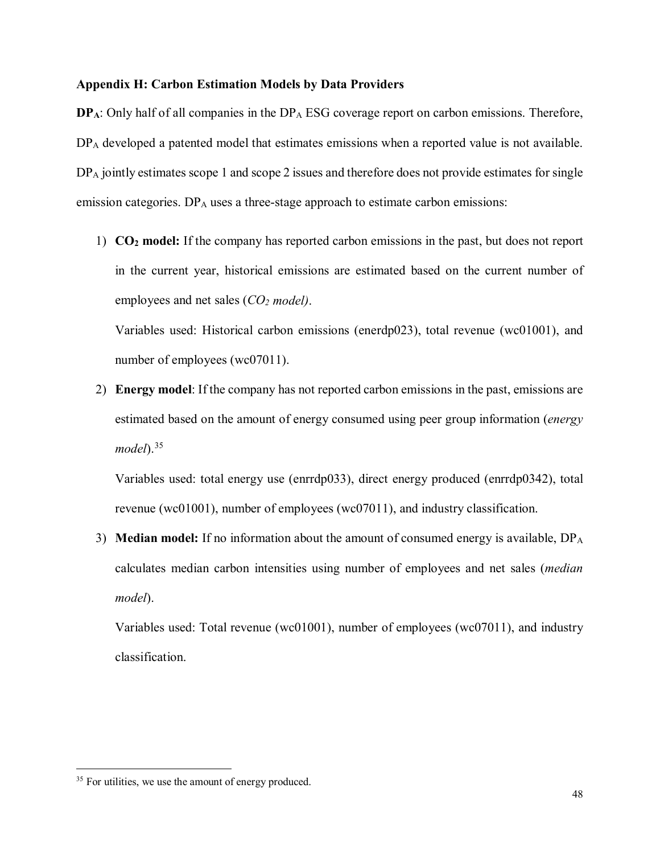#### **Appendix H: Carbon Estimation Models by Data Providers**

**DP<sub>A</sub>**: Only half of all companies in the DP<sub>A</sub> ESG coverage report on carbon emissions. Therefore, DP<sub>A</sub> developed a patented model that estimates emissions when a reported value is not available. DP<sub>A</sub> jointly estimates scope 1 and scope 2 issues and therefore does not provide estimates for single emission categories. DP<sub>A</sub> uses a three-stage approach to estimate carbon emissions:

1) **CO2 model:** If the company has reported carbon emissions in the past, but does not report in the current year, historical emissions are estimated based on the current number of employees and net sales (*CO2 model)*.

Variables used: Historical carbon emissions (enerdp023), total revenue (wc01001), and number of employees (wc07011).

2) **Energy model**: If the company has not reported carbon emissions in the past, emissions are estimated based on the amount of energy consumed using peer group information (*energy model*).[35](#page-47-0)

Variables used: total energy use (enrrdp033), direct energy produced (enrrdp0342), total revenue (wc01001), number of employees (wc07011), and industry classification.

3) **Median model:** If no information about the amount of consumed energy is available, DPA calculates median carbon intensities using number of employees and net sales (*median model*).

Variables used: Total revenue (wc01001), number of employees (wc07011), and industry classification.

<span id="page-47-0"></span><sup>&</sup>lt;sup>35</sup> For utilities, we use the amount of energy produced.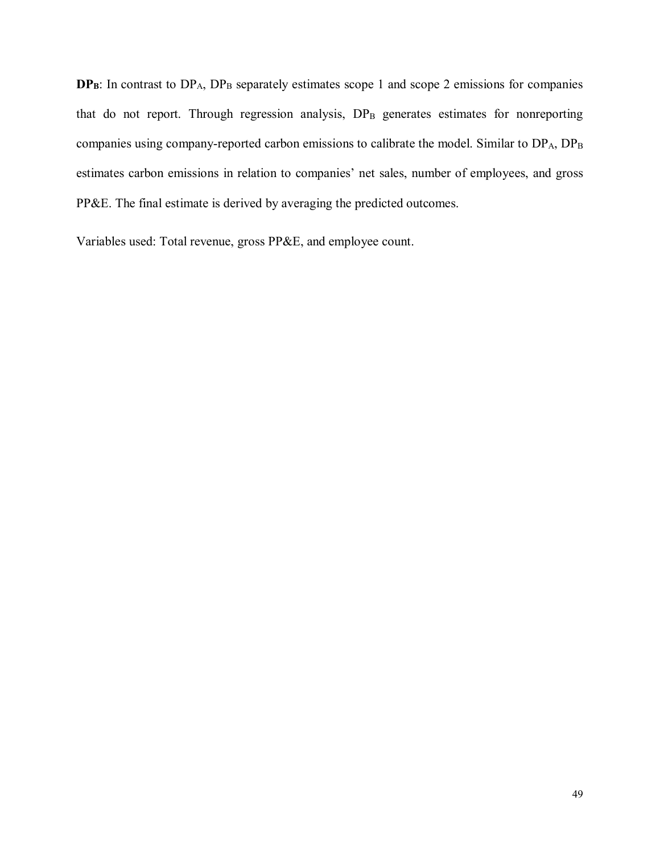**DP<sub>B</sub>**: In contrast to DP<sub>A</sub>, DP<sub>B</sub> separately estimates scope 1 and scope 2 emissions for companies that do not report. Through regression analysis, DP<sub>B</sub> generates estimates for nonreporting companies using company-reported carbon emissions to calibrate the model. Similar to DPA, DPB estimates carbon emissions in relation to companies' net sales, number of employees, and gross PP&E. The final estimate is derived by averaging the predicted outcomes.

Variables used: Total revenue, gross PP&E, and employee count.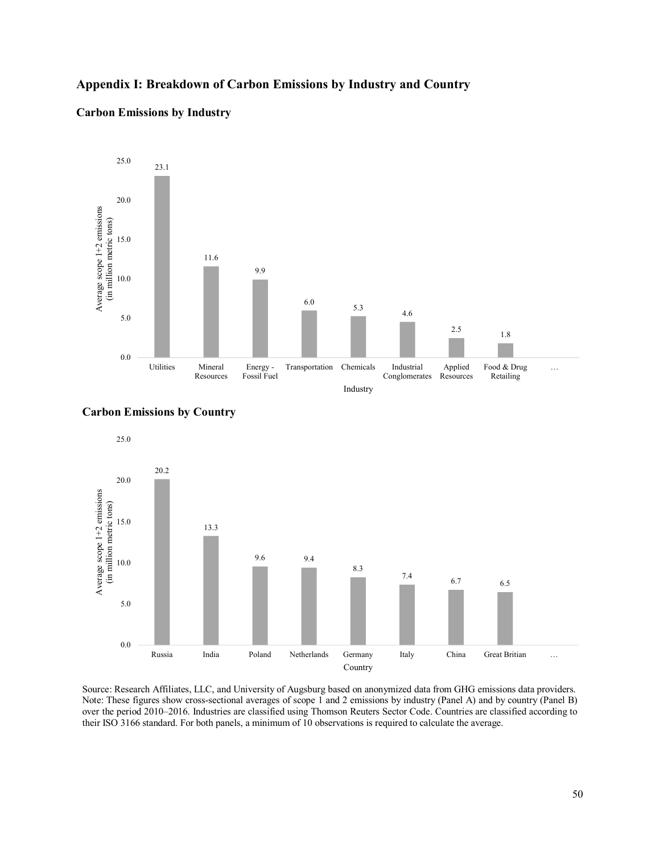#### **Appendix I: Breakdown of Carbon Emissions by Industry and Country**

#### **Carbon Emissions by Industry**







Source: Research Affiliates, LLC, and University of Augsburg based on anonymized data from GHG emissions data providers. Note: These figures show cross-sectional averages of scope 1 and 2 emissions by industry (Panel A) and by country (Panel B) over the period 2010–2016. Industries are classified using Thomson Reuters Sector Code. Countries are classified according to their ISO 3166 standard. For both panels, a minimum of 10 observations is required to calculate the average.